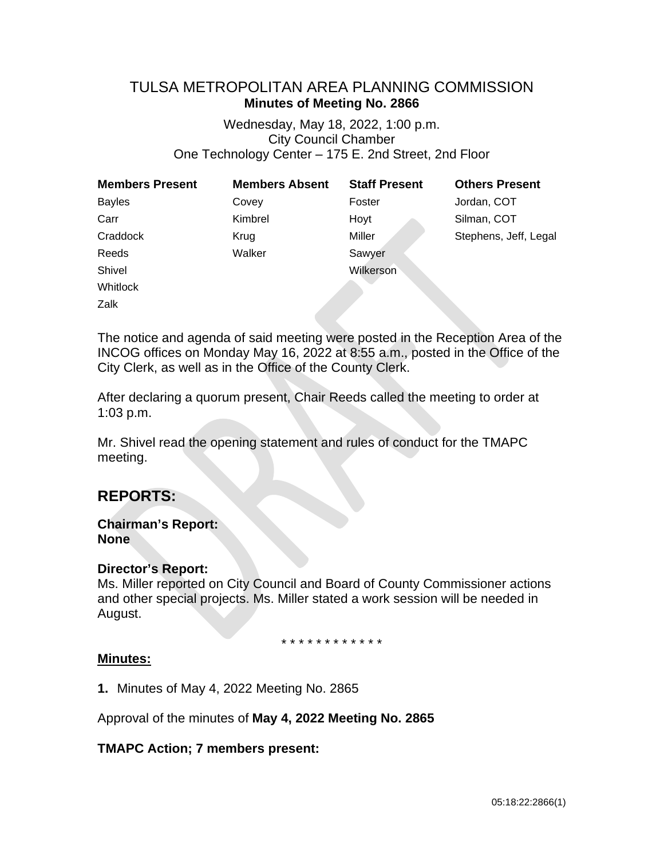# TULSA METROPOLITAN AREA PLANNING COMMISSION **Minutes of Meeting No. 2866**

Wednesday, May 18, 2022, 1:00 p.m. City Council Chamber One Technology Center – 175 E. 2nd Street, 2nd Floor

| <b>Members Present</b> | <b>Members Absent</b> | <b>Staff Present</b> | <b>Others Present</b> |
|------------------------|-----------------------|----------------------|-----------------------|
| <b>Bayles</b>          | Covey                 | Foster               | Jordan, COT           |
| Carr                   | Kimbrel               | Hoyt                 | Silman, COT           |
| Craddock               | Krug                  | Miller               | Stephens, Jeff, Legal |
| Reeds                  | Walker                | Sawyer               |                       |
| Shivel                 |                       | Wilkerson            |                       |
| <b>Whitlock</b>        |                       |                      |                       |
| Zalk                   |                       |                      |                       |

The notice and agenda of said meeting were posted in the Reception Area of the INCOG offices on Monday May 16, 2022 at 8:55 a.m., posted in the Office of the City Clerk, as well as in the Office of the County Clerk.

After declaring a quorum present, Chair Reeds called the meeting to order at 1:03 p.m.

Mr. Shivel read the opening statement and rules of conduct for the TMAPC meeting.

# **REPORTS:**

## **Chairman's Report: None**

## **Director's Report:**

Ms. Miller reported on City Council and Board of County Commissioner actions and other special projects. Ms. Miller stated a work session will be needed in August.

\* \* \* \* \* \* \* \* \* \* \* \*

## **Minutes:**

**1.** Minutes of May 4, 2022 Meeting No. 2865

Approval of the minutes of **May 4, 2022 Meeting No. 2865**

## **TMAPC Action; 7 members present:**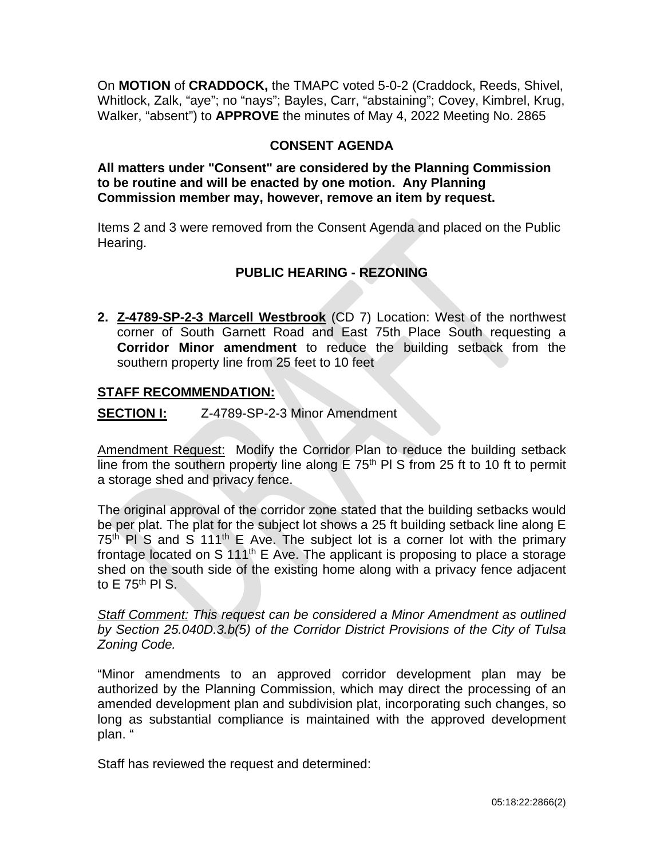On **MOTION** of **CRADDOCK,** the TMAPC voted 5-0-2 (Craddock, Reeds, Shivel, Whitlock, Zalk, "aye"; no "nays"; Bayles, Carr, "abstaining"; Covey, Kimbrel, Krug, Walker, "absent") to **APPROVE** the minutes of May 4, 2022 Meeting No. 2865

## **CONSENT AGENDA**

**All matters under "Consent" are considered by the Planning Commission to be routine and will be enacted by one motion. Any Planning Commission member may, however, remove an item by request.**

Items 2 and 3 were removed from the Consent Agenda and placed on the Public Hearing.

# **PUBLIC HEARING - REZONING**

**2. Z-4789-SP-2-3 Marcell Westbrook** (CD 7) Location: West of the northwest corner of South Garnett Road and East 75th Place South requesting a **Corridor Minor amendment** to reduce the building setback from the southern property line from 25 feet to 10 feet

## **STAFF RECOMMENDATION:**

**SECTION I:** Z-4789-SP-2-3 Minor Amendment

Amendment Request: Modify the Corridor Plan to reduce the building setback line from the southern property line along  $E$  75<sup>th</sup> PI S from 25 ft to 10 ft to permit a storage shed and privacy fence.

The original approval of the corridor zone stated that the building setbacks would be per plat. The plat for the subject lot shows a 25 ft building setback line along E  $75<sup>th</sup>$  Pl S and S 111<sup>th</sup> E Ave. The subject lot is a corner lot with the primary frontage located on S 111<sup>th</sup> E Ave. The applicant is proposing to place a storage shed on the south side of the existing home along with a privacy fence adjacent to  $E$  75<sup>th</sup> PI S.

*Staff Comment: This request can be considered a Minor Amendment as outlined by Section 25.040D.3.b(5) of the Corridor District Provisions of the City of Tulsa Zoning Code.*

"Minor amendments to an approved corridor development plan may be authorized by the Planning Commission, which may direct the processing of an amended development plan and subdivision plat, incorporating such changes, so long as substantial compliance is maintained with the approved development plan. "

Staff has reviewed the request and determined: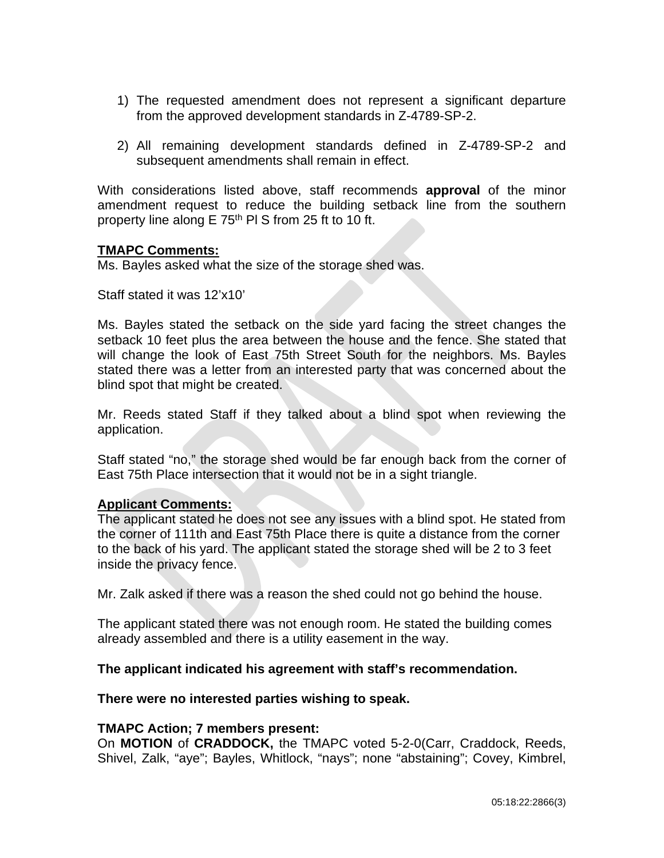- 1) The requested amendment does not represent a significant departure from the approved development standards in Z-4789-SP-2.
- 2) All remaining development standards defined in Z-4789-SP-2 and subsequent amendments shall remain in effect.

With considerations listed above, staff recommends **approval** of the minor amendment request to reduce the building setback line from the southern property line along E 75<sup>th</sup> PI S from 25 ft to 10 ft.

## **TMAPC Comments:**

Ms. Bayles asked what the size of the storage shed was.

Staff stated it was 12'x10'

Ms. Bayles stated the setback on the side yard facing the street changes the setback 10 feet plus the area between the house and the fence. She stated that will change the look of East 75th Street South for the neighbors. Ms. Bayles stated there was a letter from an interested party that was concerned about the blind spot that might be created.

Mr. Reeds stated Staff if they talked about a blind spot when reviewing the application.

Staff stated "no," the storage shed would be far enough back from the corner of East 75th Place intersection that it would not be in a sight triangle.

#### **Applicant Comments:**

The applicant stated he does not see any issues with a blind spot. He stated from the corner of 111th and East 75th Place there is quite a distance from the corner to the back of his yard. The applicant stated the storage shed will be 2 to 3 feet inside the privacy fence.

Mr. Zalk asked if there was a reason the shed could not go behind the house.

The applicant stated there was not enough room. He stated the building comes already assembled and there is a utility easement in the way.

## **The applicant indicated his agreement with staff's recommendation.**

**There were no interested parties wishing to speak.**

#### **TMAPC Action; 7 members present:**

On **MOTION** of **CRADDOCK,** the TMAPC voted 5-2-0(Carr, Craddock, Reeds, Shivel, Zalk, "aye"; Bayles, Whitlock, "nays"; none "abstaining"; Covey, Kimbrel,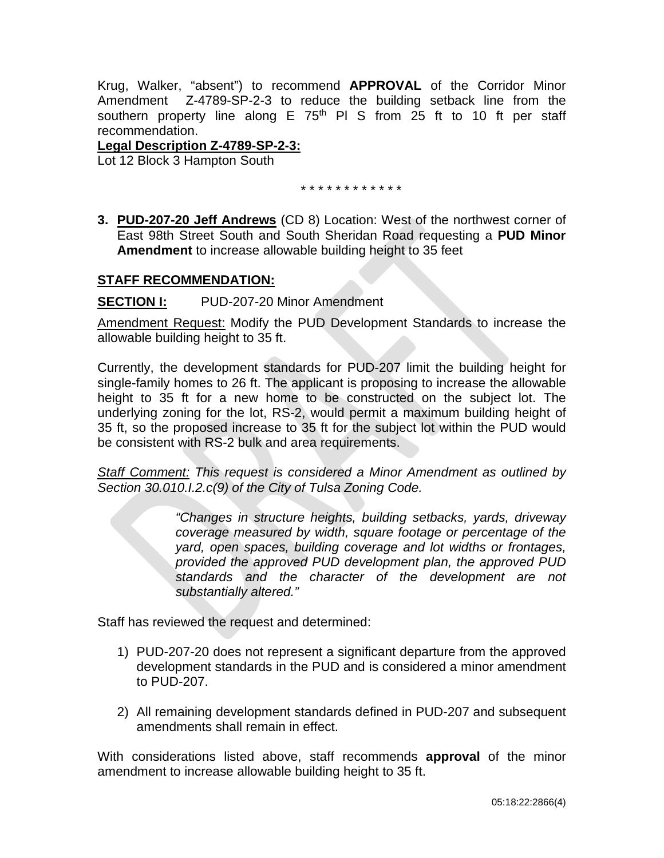Krug, Walker, "absent") to recommend **APPROVAL** of the Corridor Minor Amendment Z-4789-SP-2-3 to reduce the building setback line from the southern property line along  $E$  75<sup>th</sup> PI S from 25 ft to 10 ft per staff recommendation.

## **Legal Description Z-4789-SP-2-3:**

Lot 12 Block 3 Hampton South

\* \* \* \* \* \* \* \* \* \* \* \*

**3. PUD-207-20 Jeff Andrews** (CD 8) Location: West of the northwest corner of East 98th Street South and South Sheridan Road requesting a **PUD Minor Amendment** to increase allowable building height to 35 feet

## **STAFF RECOMMENDATION:**

**SECTION I:** PUD-207-20 Minor Amendment

Amendment Request: Modify the PUD Development Standards to increase the allowable building height to 35 ft.

Currently, the development standards for PUD-207 limit the building height for single-family homes to 26 ft. The applicant is proposing to increase the allowable height to 35 ft for a new home to be constructed on the subject lot. The underlying zoning for the lot, RS-2, would permit a maximum building height of 35 ft, so the proposed increase to 35 ft for the subject lot within the PUD would be consistent with RS-2 bulk and area requirements.

*Staff Comment: This request is considered a Minor Amendment as outlined by Section 30.010.I.2.c(9) of the City of Tulsa Zoning Code.*

> *"Changes in structure heights, building setbacks, yards, driveway coverage measured by width, square footage or percentage of the yard, open spaces, building coverage and lot widths or frontages, provided the approved PUD development plan, the approved PUD standards and the character of the development are not substantially altered."*

Staff has reviewed the request and determined:

- 1) PUD-207-20 does not represent a significant departure from the approved development standards in the PUD and is considered a minor amendment to PUD-207.
- 2) All remaining development standards defined in PUD-207 and subsequent amendments shall remain in effect.

With considerations listed above, staff recommends **approval** of the minor amendment to increase allowable building height to 35 ft.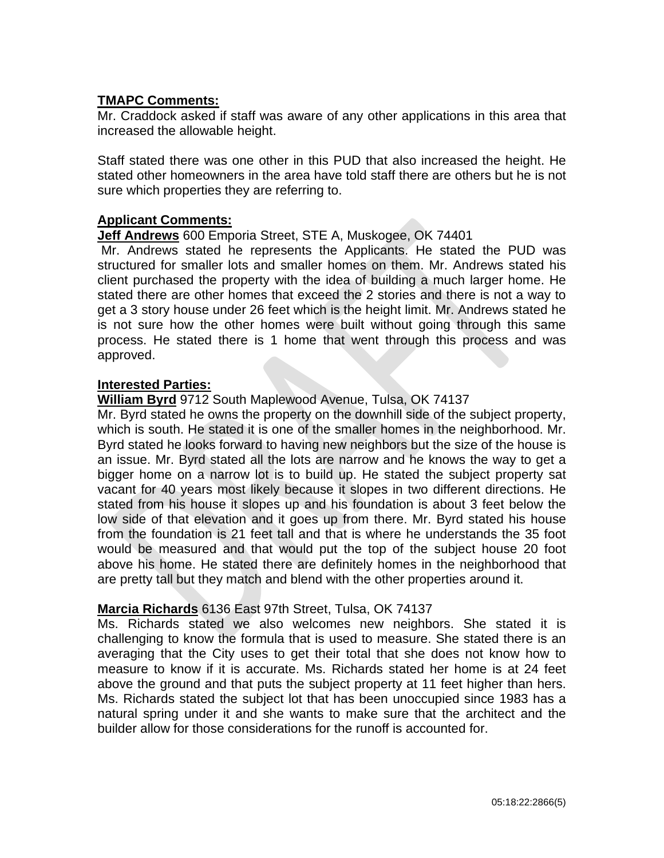## **TMAPC Comments:**

Mr. Craddock asked if staff was aware of any other applications in this area that increased the allowable height.

Staff stated there was one other in this PUD that also increased the height. He stated other homeowners in the area have told staff there are others but he is not sure which properties they are referring to.

#### **Applicant Comments:**

#### **Jeff Andrews** 600 Emporia Street, STE A, Muskogee, OK 74401

Mr. Andrews stated he represents the Applicants. He stated the PUD was structured for smaller lots and smaller homes on them. Mr. Andrews stated his client purchased the property with the idea of building a much larger home. He stated there are other homes that exceed the 2 stories and there is not a way to get a 3 story house under 26 feet which is the height limit. Mr. Andrews stated he is not sure how the other homes were built without going through this same process. He stated there is 1 home that went through this process and was approved.

#### **Interested Parties:**

#### **William Byrd** 9712 South Maplewood Avenue, Tulsa, OK 74137

Mr. Byrd stated he owns the property on the downhill side of the subject property, which is south. He stated it is one of the smaller homes in the neighborhood. Mr. Byrd stated he looks forward to having new neighbors but the size of the house is an issue. Mr. Byrd stated all the lots are narrow and he knows the way to get a bigger home on a narrow lot is to build up. He stated the subject property sat vacant for 40 years most likely because it slopes in two different directions. He stated from his house it slopes up and his foundation is about 3 feet below the low side of that elevation and it goes up from there. Mr. Byrd stated his house from the foundation is 21 feet tall and that is where he understands the 35 foot would be measured and that would put the top of the subject house 20 foot above his home. He stated there are definitely homes in the neighborhood that are pretty tall but they match and blend with the other properties around it.

#### **Marcia Richards** 6136 East 97th Street, Tulsa, OK 74137

Ms. Richards stated we also welcomes new neighbors. She stated it is challenging to know the formula that is used to measure. She stated there is an averaging that the City uses to get their total that she does not know how to measure to know if it is accurate. Ms. Richards stated her home is at 24 feet above the ground and that puts the subject property at 11 feet higher than hers. Ms. Richards stated the subject lot that has been unoccupied since 1983 has a natural spring under it and she wants to make sure that the architect and the builder allow for those considerations for the runoff is accounted for.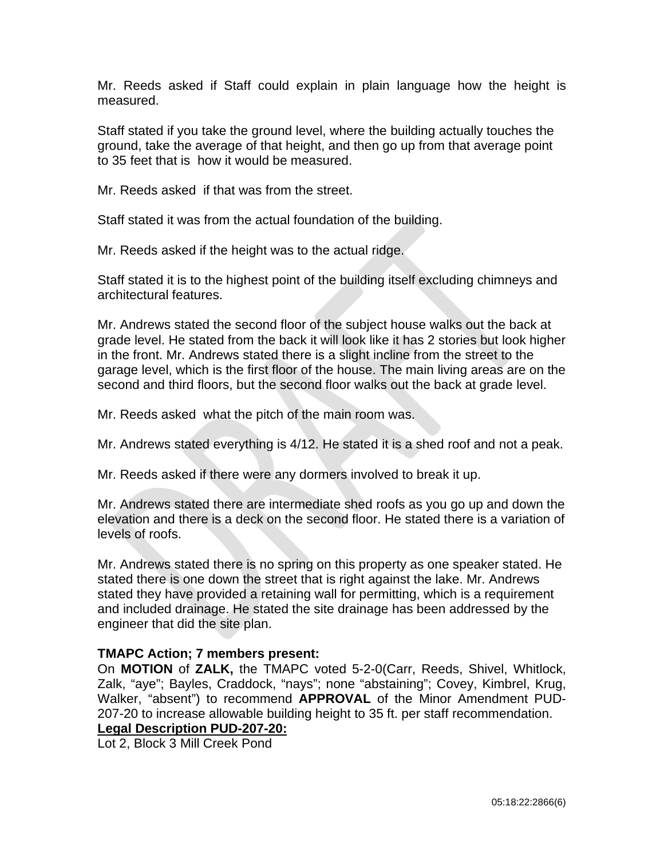Mr. Reeds asked if Staff could explain in plain language how the height is measured.

Staff stated if you take the ground level, where the building actually touches the ground, take the average of that height, and then go up from that average point to 35 feet that is how it would be measured.

Mr. Reeds asked if that was from the street.

Staff stated it was from the actual foundation of the building.

Mr. Reeds asked if the height was to the actual ridge.

Staff stated it is to the highest point of the building itself excluding chimneys and architectural features.

Mr. Andrews stated the second floor of the subject house walks out the back at grade level. He stated from the back it will look like it has 2 stories but look higher in the front. Mr. Andrews stated there is a slight incline from the street to the garage level, which is the first floor of the house. The main living areas are on the second and third floors, but the second floor walks out the back at grade level.

Mr. Reeds asked what the pitch of the main room was.

Mr. Andrews stated everything is 4/12. He stated it is a shed roof and not a peak.

Mr. Reeds asked if there were any dormers involved to break it up.

Mr. Andrews stated there are intermediate shed roofs as you go up and down the elevation and there is a deck on the second floor. He stated there is a variation of levels of roofs.

Mr. Andrews stated there is no spring on this property as one speaker stated. He stated there is one down the street that is right against the lake. Mr. Andrews stated they have provided a retaining wall for permitting, which is a requirement and included drainage. He stated the site drainage has been addressed by the engineer that did the site plan.

## **TMAPC Action; 7 members present:**

On **MOTION** of **ZALK,** the TMAPC voted 5-2-0(Carr, Reeds, Shivel, Whitlock, Zalk, "aye"; Bayles, Craddock, "nays"; none "abstaining"; Covey, Kimbrel, Krug, Walker, "absent") to recommend **APPROVAL** of the Minor Amendment PUD-207-20 to increase allowable building height to 35 ft. per staff recommendation. **Legal Description PUD-207-20:**

Lot 2, Block 3 Mill Creek Pond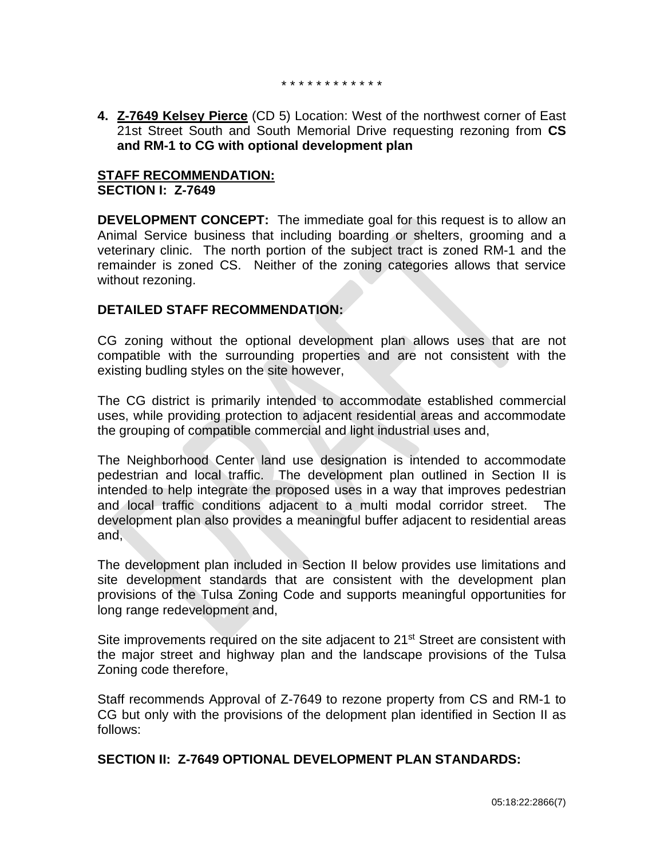\* \* \* \* \* \* \* \* \* \* \* \*

**4. Z-7649 Kelsey Pierce** (CD 5) Location: West of the northwest corner of East 21st Street South and South Memorial Drive requesting rezoning from **CS and RM-1 to CG with optional development plan** 

## **STAFF RECOMMENDATION: SECTION I: Z-7649**

**DEVELOPMENT CONCEPT:** The immediate goal for this request is to allow an Animal Service business that including boarding or shelters, grooming and a veterinary clinic. The north portion of the subject tract is zoned RM-1 and the remainder is zoned CS. Neither of the zoning categories allows that service without rezoning.

## **DETAILED STAFF RECOMMENDATION:**

CG zoning without the optional development plan allows uses that are not compatible with the surrounding properties and are not consistent with the existing budling styles on the site however,

The CG district is primarily intended to accommodate established commercial uses, while providing protection to adjacent residential areas and accommodate the grouping of compatible commercial and light industrial uses and,

The Neighborhood Center land use designation is intended to accommodate pedestrian and local traffic. The development plan outlined in Section II is intended to help integrate the proposed uses in a way that improves pedestrian and local traffic conditions adjacent to a multi modal corridor street. The development plan also provides a meaningful buffer adjacent to residential areas and,

The development plan included in Section II below provides use limitations and site development standards that are consistent with the development plan provisions of the Tulsa Zoning Code and supports meaningful opportunities for long range redevelopment and,

Site improvements required on the site adjacent to  $21^{st}$  Street are consistent with the major street and highway plan and the landscape provisions of the Tulsa Zoning code therefore,

Staff recommends Approval of Z-7649 to rezone property from CS and RM-1 to CG but only with the provisions of the delopment plan identified in Section II as follows:

## **SECTION II: Z-7649 OPTIONAL DEVELOPMENT PLAN STANDARDS:**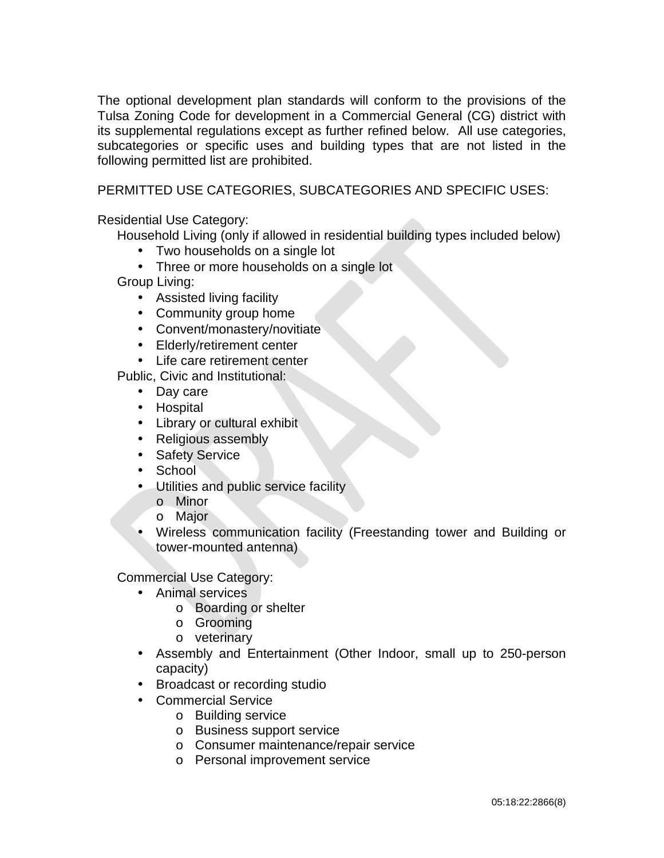The optional development plan standards will conform to the provisions of the Tulsa Zoning Code for development in a Commercial General (CG) district with its supplemental regulations except as further refined below. All use categories, subcategories or specific uses and building types that are not listed in the following permitted list are prohibited.

## PERMITTED USE CATEGORIES, SUBCATEGORIES AND SPECIFIC USES:

Residential Use Category:

Household Living (only if allowed in residential building types included below)

- Two households on a single lot
- Three or more households on a single lot

Group Living:

- Assisted living facility
- Community group home
- Convent/monastery/novitiate
- Elderly/retirement center  $\mathcal{L}^{\text{max}}$
- Life care retirement center

Public, Civic and Institutional:

- Day care
- Hospital
- Library or cultural exhibit
- $\mathbf{L}^{\text{max}}$ Religious assembly
- Safety Service
- **School**
- Utilities and public service facility
	- o Minor
	- o Major
	- Wireless communication facility (Freestanding tower and Building or tower-mounted antenna)

Commercial Use Category:

- Animal services
	- o Boarding or shelter
	- o Grooming
	- o veterinary
- Assembly and Entertainment (Other Indoor, small up to 250-person capacity)
- Broadcast or recording studio
- Commercial Service
	- o Building service
	- o Business support service
	- o Consumer maintenance/repair service
	- o Personal improvement service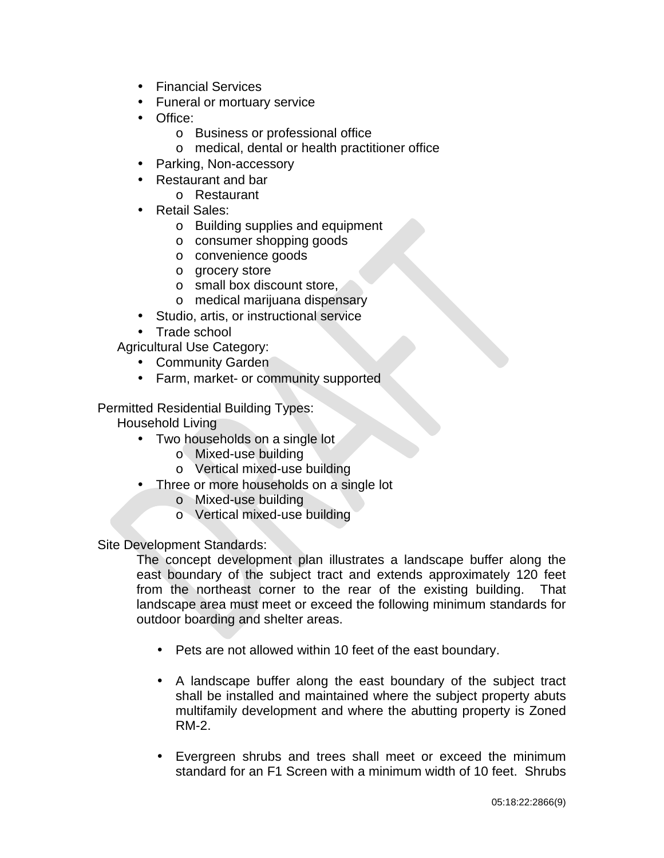- $\mathbf{L}^{\text{max}}$ Financial Services
- Funeral or mortuary service
- Office:
	- o Business or professional office
	- o medical, dental or health practitioner office
- Parking, Non-accessory
- Restaurant and bar
	- o Restaurant
- Retail Sales:
	- o Building supplies and equipment
	- o consumer shopping goods
	- o convenience goods
	- o grocery store
	- o small box discount store,
	- o medical marijuana dispensary
- Studio, artis, or instructional service
- Trade school

Agricultural Use Category:

- Community Garden  $\mathbf{r}$
- Farm, market- or community supported  $\mathbf{r}$

Permitted Residential Building Types:

- Household Living
	- Two households on a single lot
		- o Mixed-use building
		- o Vertical mixed-use building
	- Three or more households on a single lot
		- o Mixed-use building
		- o Vertical mixed-use building

Site Development Standards:

The concept development plan illustrates a landscape buffer along the east boundary of the subject tract and extends approximately 120 feet from the northeast corner to the rear of the existing building. That landscape area must meet or exceed the following minimum standards for outdoor boarding and shelter areas.

- Pets are not allowed within 10 feet of the east boundary.
- $\mathbf{r}$ A landscape buffer along the east boundary of the subject tract shall be installed and maintained where the subject property abuts multifamily development and where the abutting property is Zoned RM-2.
- Evergreen shrubs and trees shall meet or exceed the minimum standard for an F1 Screen with a minimum width of 10 feet. Shrubs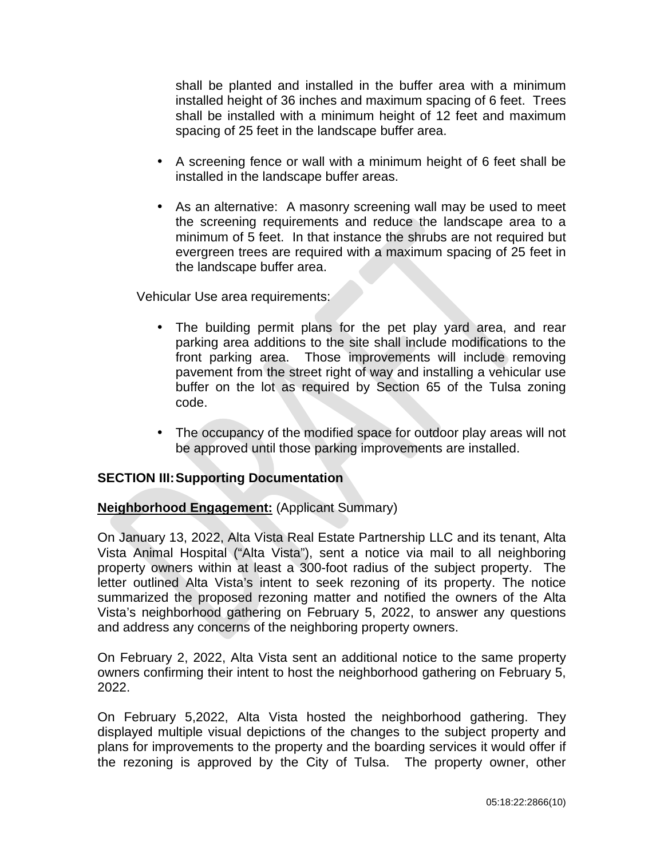shall be planted and installed in the buffer area with a minimum installed height of 36 inches and maximum spacing of 6 feet. Trees shall be installed with a minimum height of 12 feet and maximum spacing of 25 feet in the landscape buffer area.

- A screening fence or wall with a minimum height of 6 feet shall be installed in the landscape buffer areas.
- $\mathcal{L}^{(1)}$ As an alternative: A masonry screening wall may be used to meet the screening requirements and reduce the landscape area to a minimum of 5 feet. In that instance the shrubs are not required but evergreen trees are required with a maximum spacing of 25 feet in the landscape buffer area.

Vehicular Use area requirements:

- The building permit plans for the pet play yard area, and rear  $\mathbf{r}$  . parking area additions to the site shall include modifications to the front parking area. Those improvements will include removing pavement from the street right of way and installing a vehicular use buffer on the lot as required by Section 65 of the Tulsa zoning code.
- The occupancy of the modified space for outdoor play areas will not be approved until those parking improvements are installed.

## **SECTION III:Supporting Documentation**

## **Neighborhood Engagement:** (Applicant Summary)

On January 13, 2022, Alta Vista Real Estate Partnership LLC and its tenant, Alta Vista Animal Hospital ("Alta Vista"), sent a notice via mail to all neighboring property owners within at least a 300-foot radius of the subject property. The letter outlined Alta Vista's intent to seek rezoning of its property. The notice summarized the proposed rezoning matter and notified the owners of the Alta Vista's neighborhood gathering on February 5, 2022, to answer any questions and address any concerns of the neighboring property owners.

On February 2, 2022, Alta Vista sent an additional notice to the same property owners confirming their intent to host the neighborhood gathering on February 5, 2022.

On February 5,2022, Alta Vista hosted the neighborhood gathering. They displayed multiple visual depictions of the changes to the subject property and plans for improvements to the property and the boarding services it would offer if the rezoning is approved by the City of Tulsa. The property owner, other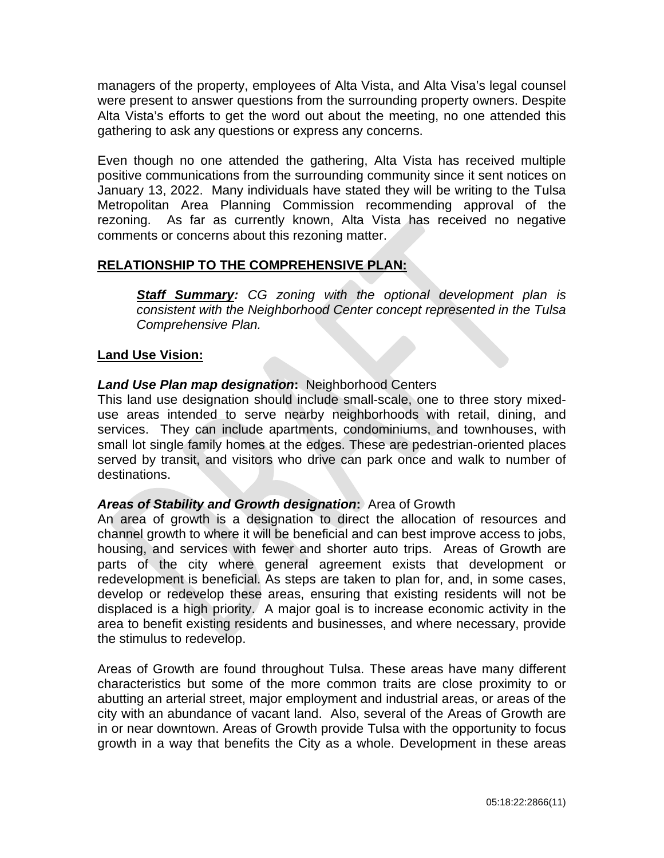managers of the property, employees of Alta Vista, and Alta Visa's legal counsel were present to answer questions from the surrounding property owners. Despite Alta Vista's efforts to get the word out about the meeting, no one attended this gathering to ask any questions or express any concerns.

Even though no one attended the gathering, Alta Vista has received multiple positive communications from the surrounding community since it sent notices on January 13, 2022. Many individuals have stated they will be writing to the Tulsa Metropolitan Area Planning Commission recommending approval of the rezoning. As far as currently known, Alta Vista has received no negative comments or concerns about this rezoning matter.

## **RELATIONSHIP TO THE COMPREHENSIVE PLAN:**

*Staff Summary: CG zoning with the optional development plan is consistent with the Neighborhood Center concept represented in the Tulsa Comprehensive Plan.*

## **Land Use Vision:**

## *Land Use Plan map designation***:** Neighborhood Centers

This land use designation should include small-scale, one to three story mixeduse areas intended to serve nearby neighborhoods with retail, dining, and services. They can include apartments, condominiums, and townhouses, with small lot single family homes at the edges. These are pedestrian-oriented places served by transit, and visitors who drive can park once and walk to number of destinations.

## *Areas of Stability and Growth designation***:** Area of Growth

An area of growth is a designation to direct the allocation of resources and channel growth to where it will be beneficial and can best improve access to jobs, housing, and services with fewer and shorter auto trips. Areas of Growth are parts of the city where general agreement exists that development or redevelopment is beneficial. As steps are taken to plan for, and, in some cases, develop or redevelop these areas, ensuring that existing residents will not be displaced is a high priority. A major goal is to increase economic activity in the area to benefit existing residents and businesses, and where necessary, provide the stimulus to redevelop.

Areas of Growth are found throughout Tulsa. These areas have many different characteristics but some of the more common traits are close proximity to or abutting an arterial street, major employment and industrial areas, or areas of the city with an abundance of vacant land. Also, several of the Areas of Growth are in or near downtown. Areas of Growth provide Tulsa with the opportunity to focus growth in a way that benefits the City as a whole. Development in these areas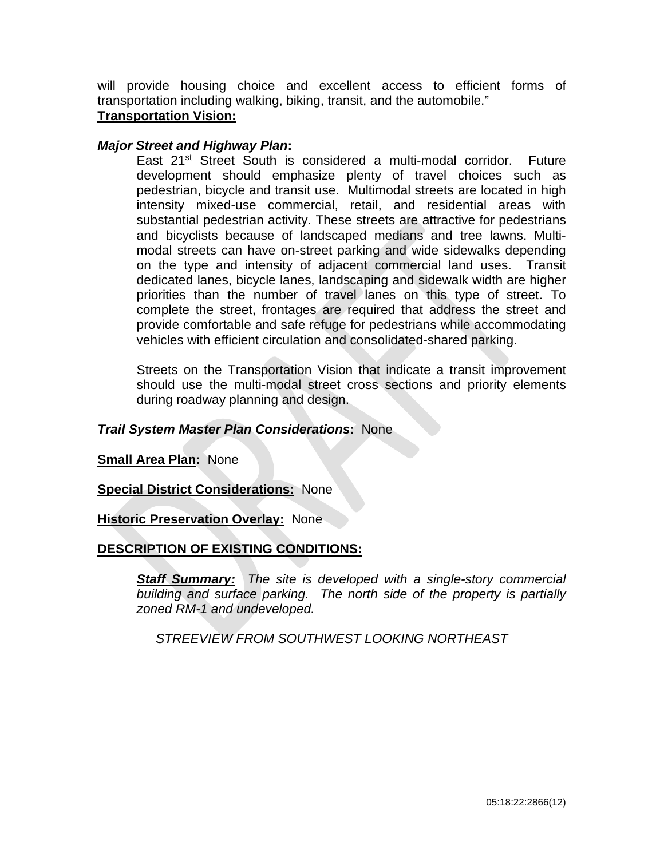will provide housing choice and excellent access to efficient forms of transportation including walking, biking, transit, and the automobile."

# **Transportation Vision:**

#### *Major Street and Highway Plan***:**

East 21st Street South is considered a multi-modal corridor. Future development should emphasize plenty of travel choices such as pedestrian, bicycle and transit use. Multimodal streets are located in high intensity mixed-use commercial, retail, and residential areas with substantial pedestrian activity. These streets are attractive for pedestrians and bicyclists because of landscaped medians and tree lawns. Multimodal streets can have on-street parking and wide sidewalks depending on the type and intensity of adjacent commercial land uses. Transit dedicated lanes, bicycle lanes, landscaping and sidewalk width are higher priorities than the number of travel lanes on this type of street. To complete the street, frontages are required that address the street and provide comfortable and safe refuge for pedestrians while accommodating vehicles with efficient circulation and consolidated-shared parking.

Streets on the Transportation Vision that indicate a transit improvement should use the multi-modal street cross sections and priority elements during roadway planning and design.

#### *Trail System Master Plan Considerations***:** None

**Small Area Plan:** None

**Special District Considerations:** None

#### **Historic Preservation Overlay:** None

## **DESCRIPTION OF EXISTING CONDITIONS:**

*Staff Summary: The site is developed with a single-story commercial building and surface parking. The north side of the property is partially zoned RM-1 and undeveloped.*

*STREEVIEW FROM SOUTHWEST LOOKING NORTHEAST*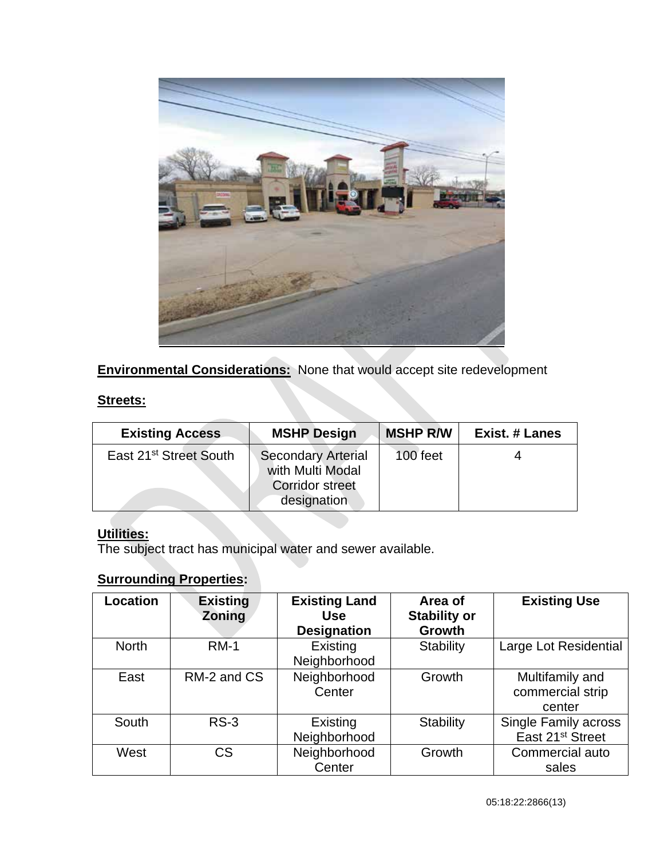

**Environmental Considerations:** None that would accept site redevelopment

## **Streets:**

| <b>Existing Access</b>             | <b>MSHP Design</b>                                                                     | <b>MSHP R/W</b> | <b>Exist. # Lanes</b> |
|------------------------------------|----------------------------------------------------------------------------------------|-----------------|-----------------------|
| East 21 <sup>st</sup> Street South | <b>Secondary Arterial</b><br>with Multi Modal<br><b>Corridor street</b><br>designation | 100 feet        |                       |

# **Utilities:**

The subject tract has municipal water and sewer available.

# **Surrounding Properties:**

| <b>Location</b> | <b>Existing</b><br><b>Zoning</b> | <b>Existing Land</b><br><b>Use</b><br><b>Designation</b> | Area of<br><b>Stability or</b><br><b>Growth</b> | <b>Existing Use</b>                                         |
|-----------------|----------------------------------|----------------------------------------------------------|-------------------------------------------------|-------------------------------------------------------------|
| <b>North</b>    | <b>RM-1</b>                      | Existing<br>Neighborhood                                 | <b>Stability</b>                                | Large Lot Residential                                       |
| East            | RM-2 and CS                      | Neighborhood<br>Center                                   | Growth                                          | Multifamily and<br>commercial strip<br>center               |
| South           | $RS-3$                           | Existing<br>Neighborhood                                 | <b>Stability</b>                                | <b>Single Family across</b><br>East 21 <sup>st</sup> Street |
| West            | CS                               | Neighborhood<br>Center                                   | Growth                                          | Commercial auto<br>sales                                    |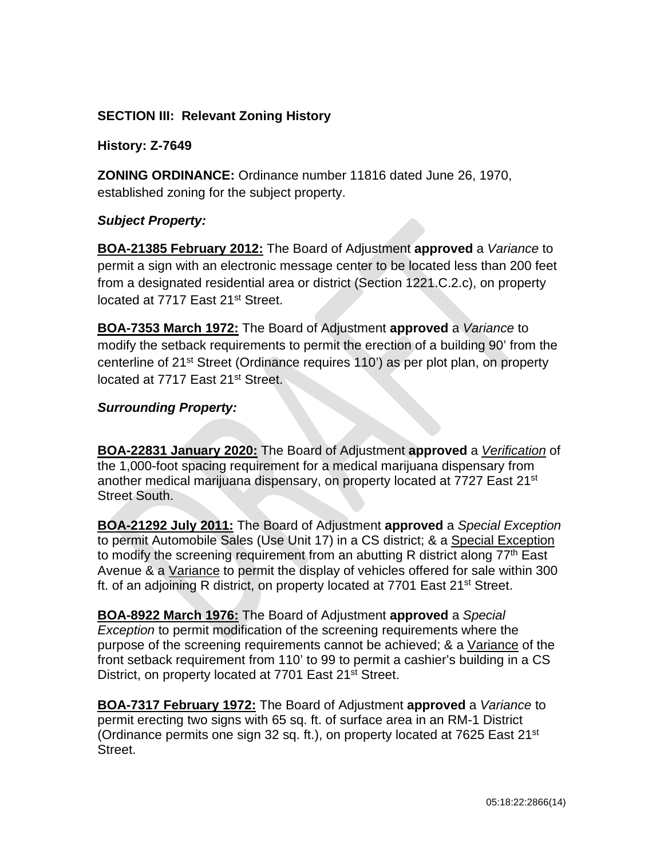# **SECTION III: Relevant Zoning History**

## **History: Z-7649**

**ZONING ORDINANCE:** Ordinance number 11816 dated June 26, 1970, established zoning for the subject property.

## *Subject Property:*

**BOA-21385 February 2012:** The Board of Adjustment **approved** a *Variance* to permit a sign with an electronic message center to be located less than 200 feet from a designated residential area or district (Section 1221.C.2.c), on property located at 7717 East 21st Street.

**BOA-7353 March 1972:** The Board of Adjustment **approved** a *Variance* to modify the setback requirements to permit the erection of a building 90' from the centerline of 21<sup>st</sup> Street (Ordinance requires 110') as per plot plan, on property located at 7717 East 21<sup>st</sup> Street.

## *Surrounding Property:*

**BOA-22831 January 2020:** The Board of Adjustment **approved** a *Verification* of the 1,000-foot spacing requirement for a medical marijuana dispensary from another medical marijuana dispensary, on property located at 7727 East 21<sup>st</sup> Street South.

**BOA-21292 July 2011:** The Board of Adjustment **approved** a *Special Exception*  to permit Automobile Sales (Use Unit 17) in a CS district; & a Special Exception to modify the screening requirement from an abutting R district along  $77<sup>th</sup>$  East Avenue & a Variance to permit the display of vehicles offered for sale within 300 ft. of an adjoining R district, on property located at 7701 East 21<sup>st</sup> Street.

**BOA-8922 March 1976:** The Board of Adjustment **approved** a *Special Exception* to permit modification of the screening requirements where the purpose of the screening requirements cannot be achieved; & a Variance of the front setback requirement from 110' to 99 to permit a cashier's building in a CS District, on property located at 7701 East 21<sup>st</sup> Street.

**BOA-7317 February 1972:** The Board of Adjustment **approved** a *Variance* to permit erecting two signs with 65 sq. ft. of surface area in an RM-1 District (Ordinance permits one sign 32 sq. ft.), on property located at 7625 East 21<sup>st</sup> Street.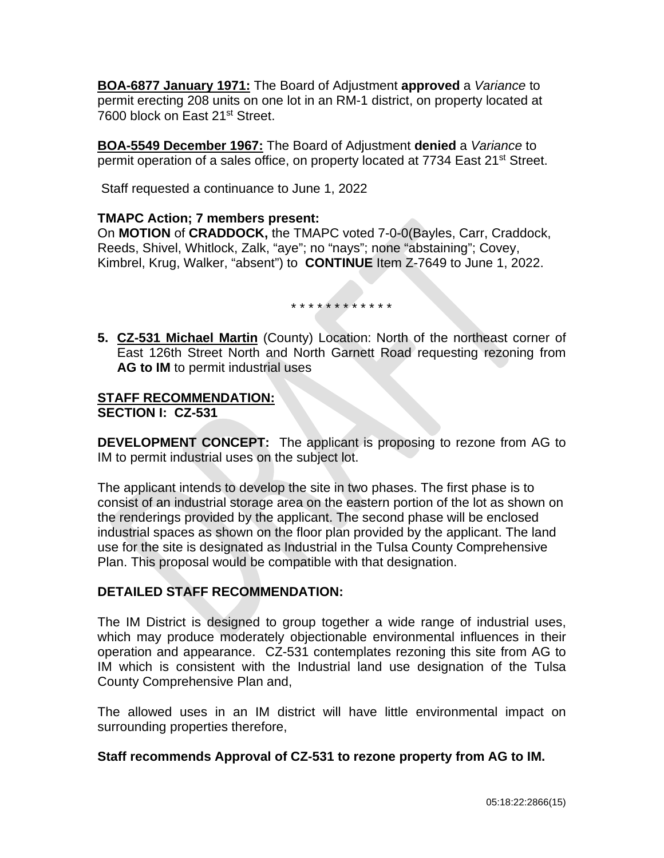**BOA-6877 January 1971:** The Board of Adjustment **approved** a *Variance* to permit erecting 208 units on one lot in an RM-1 district, on property located at 7600 block on East 21<sup>st</sup> Street.

**BOA-5549 December 1967:** The Board of Adjustment **denied** a *Variance* to permit operation of a sales office, on property located at 7734 East 21<sup>st</sup> Street.

Staff requested a continuance to June 1, 2022

#### **TMAPC Action; 7 members present:**

On **MOTION** of **CRADDOCK,** the TMAPC voted 7-0-0(Bayles, Carr, Craddock, Reeds, Shivel, Whitlock, Zalk, "aye"; no "nays"; none "abstaining"; Covey, Kimbrel, Krug, Walker, "absent") to **CONTINUE** Item Z-7649 to June 1, 2022.

\* \* \* \* \* \* \* \* \* \* \* \*

**5. CZ-531 Michael Martin** (County) Location: North of the northeast corner of East 126th Street North and North Garnett Road requesting rezoning from **AG to IM** to permit industrial uses

#### **STAFF RECOMMENDATION: SECTION I: CZ-531**

**DEVELOPMENT CONCEPT:** The applicant is proposing to rezone from AG to IM to permit industrial uses on the subject lot.

The applicant intends to develop the site in two phases. The first phase is to consist of an industrial storage area on the eastern portion of the lot as shown on the renderings provided by the applicant. The second phase will be enclosed industrial spaces as shown on the floor plan provided by the applicant. The land use for the site is designated as Industrial in the Tulsa County Comprehensive Plan. This proposal would be compatible with that designation.

## **DETAILED STAFF RECOMMENDATION:**

The IM District is designed to group together a wide range of industrial uses, which may produce moderately objectionable environmental influences in their operation and appearance. CZ-531 contemplates rezoning this site from AG to IM which is consistent with the Industrial land use designation of the Tulsa County Comprehensive Plan and,

The allowed uses in an IM district will have little environmental impact on surrounding properties therefore,

## **Staff recommends Approval of CZ-531 to rezone property from AG to IM.**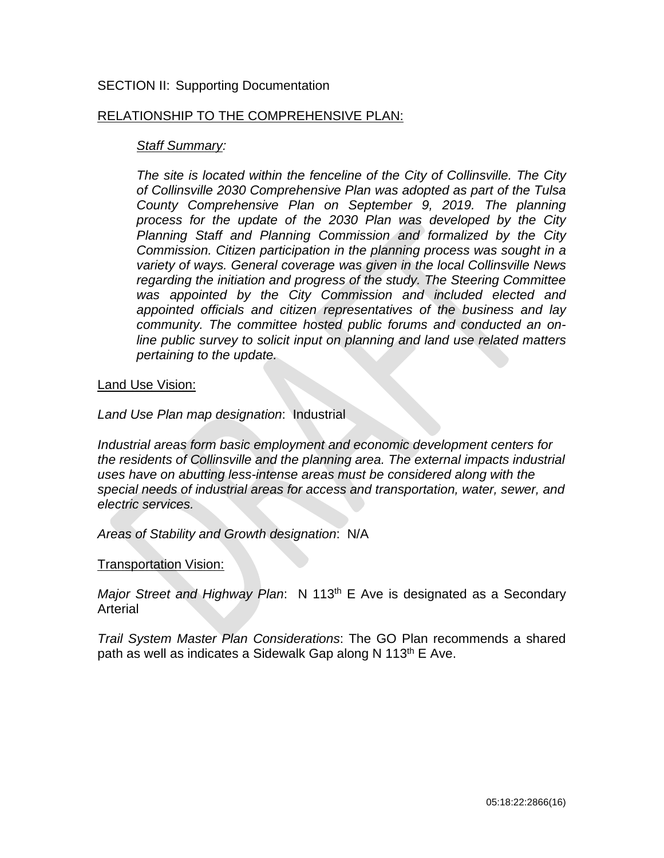#### SECTION II: Supporting Documentation

#### RELATIONSHIP TO THE COMPREHENSIVE PLAN:

#### *Staff Summary:*

*The site is located within the fenceline of the City of Collinsville. The City of Collinsville 2030 Comprehensive Plan was adopted as part of the Tulsa County Comprehensive Plan on September 9, 2019. The planning process for the update of the 2030 Plan was developed by the City Planning Staff and Planning Commission and formalized by the City Commission. Citizen participation in the planning process was sought in a variety of ways. General coverage was given in the local Collinsville News regarding the initiation and progress of the study. The Steering Committee was appointed by the City Commission and included elected and appointed officials and citizen representatives of the business and lay community. The committee hosted public forums and conducted an online public survey to solicit input on planning and land use related matters pertaining to the update.*

#### Land Use Vision:

*Land Use Plan map designation*: Industrial

*Industrial areas form basic employment and economic development centers for the residents of Collinsville and the planning area. The external impacts industrial uses have on abutting less-intense areas must be considered along with the special needs of industrial areas for access and transportation, water, sewer, and electric services.*

*Areas of Stability and Growth designation*: N/A

#### Transportation Vision:

*Major Street and Highway Plan*: N 113<sup>th</sup> E Ave is designated as a Secondary Arterial

*Trail System Master Plan Considerations*: The GO Plan recommends a shared path as well as indicates a Sidewalk Gap along N 113<sup>th</sup> E Ave.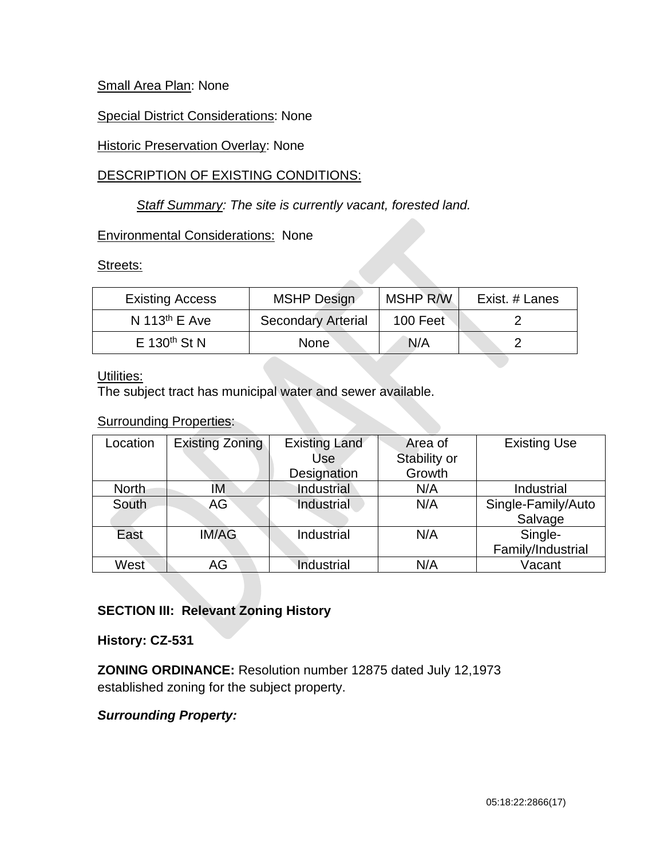## Small Area Plan: None

## **Special District Considerations: None**

## **Historic Preservation Overlay: None**

## DESCRIPTION OF EXISTING CONDITIONS:

## *Staff Summary: The site is currently vacant, forested land.*

## Environmental Considerations: None

Streets:

| <b>Existing Access</b>     | <b>MSHP Design</b>        | <b>MSHP R/W</b> | Exist. # Lanes |
|----------------------------|---------------------------|-----------------|----------------|
| N 113 <sup>th</sup> E Ave  | <b>Secondary Arterial</b> | 100 Feet        |                |
| $E$ 130 <sup>th</sup> St N | <b>None</b>               | N/A             |                |

## Utilities:

The subject tract has municipal water and sewer available.

#### **Surrounding Properties:**

| Location | <b>Existing Zoning</b> | <b>Existing Land</b><br>Use | Area of<br>Stability or | <b>Existing Use</b>           |
|----------|------------------------|-----------------------------|-------------------------|-------------------------------|
|          |                        | Designation                 | Growth                  |                               |
| North    | ΙM                     | Industrial                  | N/A                     | Industrial                    |
| South    | AG                     | Industrial                  | N/A                     | Single-Family/Auto<br>Salvage |
| East     | <b>IM/AG</b>           | Industrial                  | N/A                     | Single-<br>Family/Industrial  |
| West     | AG                     | Industrial                  | N/A                     | Vacant                        |

## **SECTION III: Relevant Zoning History**

## **History: CZ-531**

**ZONING ORDINANCE:** Resolution number 12875 dated July 12,1973 established zoning for the subject property.

## *Surrounding Property:*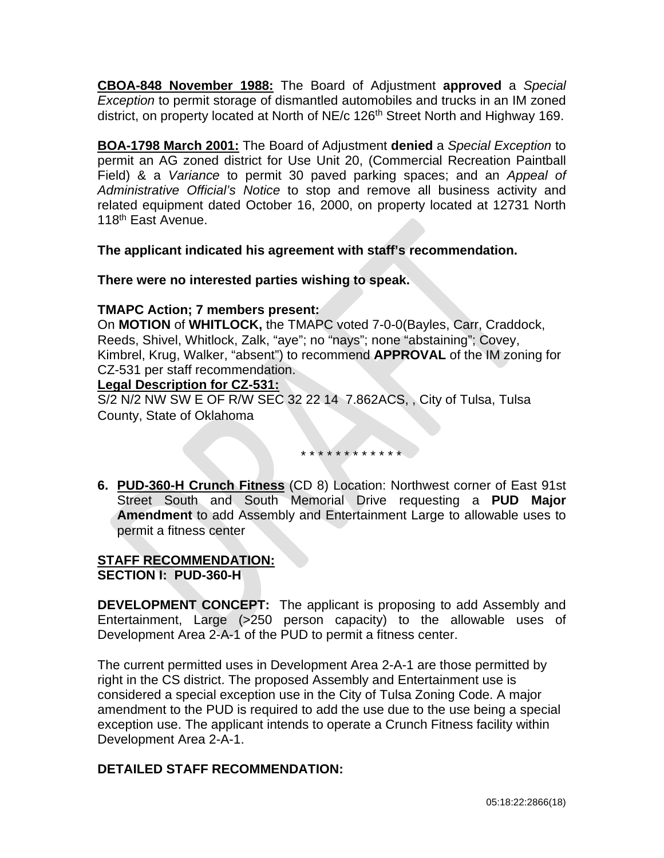**CBOA-848 November 1988:** The Board of Adjustment **approved** a *Special Exception* to permit storage of dismantled automobiles and trucks in an IM zoned district, on property located at North of NE/c 126<sup>th</sup> Street North and Highway 169.

**BOA-1798 March 2001:** The Board of Adjustment **denied** a *Special Exception* to permit an AG zoned district for Use Unit 20, (Commercial Recreation Paintball Field) & a *Variance* to permit 30 paved parking spaces; and an *Appeal of Administrative Official's Notice* to stop and remove all business activity and related equipment dated October 16, 2000, on property located at 12731 North 118<sup>th</sup> East Avenue.

**The applicant indicated his agreement with staff's recommendation.**

**There were no interested parties wishing to speak.**

## **TMAPC Action; 7 members present:**

On **MOTION** of **WHITLOCK,** the TMAPC voted 7-0-0(Bayles, Carr, Craddock, Reeds, Shivel, Whitlock, Zalk, "aye"; no "nays"; none "abstaining"; Covey, Kimbrel, Krug, Walker, "absent") to recommend **APPROVAL** of the IM zoning for CZ-531 per staff recommendation.

## **Legal Description for CZ-531:**

S/2 N/2 NW SW E OF R/W SEC 32 22 14 7.862ACS, , City of Tulsa, Tulsa County, State of Oklahoma

\* \* \* \* \* \* \* \* \* \* \* \*

**6. PUD-360-H Crunch Fitness** (CD 8) Location: Northwest corner of East 91st Street South and South Memorial Drive requesting a **PUD Major Amendment** to add Assembly and Entertainment Large to allowable uses to permit a fitness center

#### **STAFF RECOMMENDATION: SECTION I: PUD-360-H**

**DEVELOPMENT CONCEPT:** The applicant is proposing to add Assembly and Entertainment, Large (>250 person capacity) to the allowable uses of Development Area 2-A-1 of the PUD to permit a fitness center.

The current permitted uses in Development Area 2-A-1 are those permitted by right in the CS district. The proposed Assembly and Entertainment use is considered a special exception use in the City of Tulsa Zoning Code. A major amendment to the PUD is required to add the use due to the use being a special exception use. The applicant intends to operate a Crunch Fitness facility within Development Area 2-A-1.

## **DETAILED STAFF RECOMMENDATION:**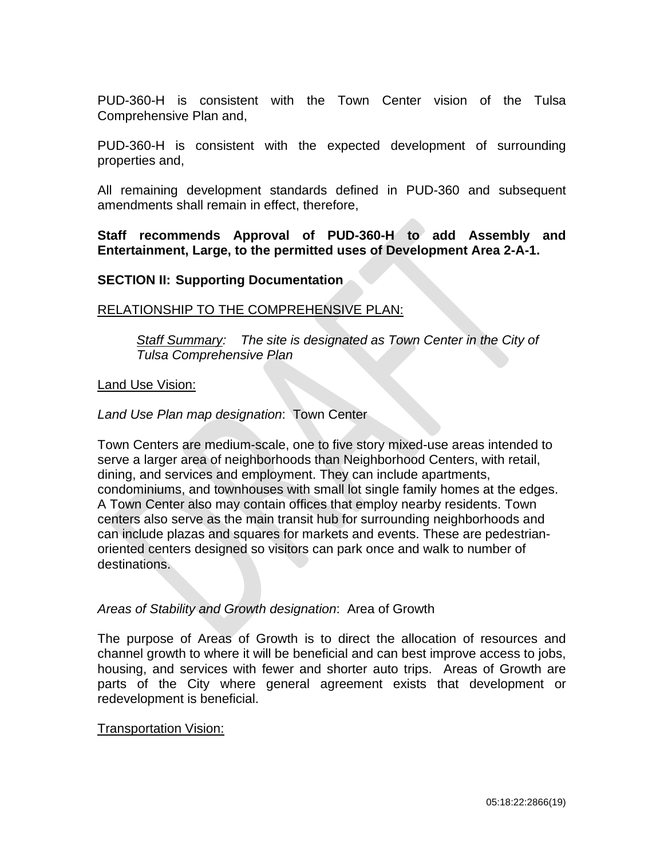PUD-360-H is consistent with the Town Center vision of the Tulsa Comprehensive Plan and,

PUD-360-H is consistent with the expected development of surrounding properties and,

All remaining development standards defined in PUD-360 and subsequent amendments shall remain in effect, therefore,

**Staff recommends Approval of PUD-360-H to add Assembly and Entertainment, Large, to the permitted uses of Development Area 2-A-1.** 

#### **SECTION II: Supporting Documentation**

#### RELATIONSHIP TO THE COMPREHENSIVE PLAN:

*Staff Summary: The site is designated as Town Center in the City of Tulsa Comprehensive Plan*

#### Land Use Vision:

*Land Use Plan map designation*: Town Center

Town Centers are medium-scale, one to five story mixed-use areas intended to serve a larger area of neighborhoods than Neighborhood Centers, with retail, dining, and services and employment. They can include apartments, condominiums, and townhouses with small lot single family homes at the edges. A Town Center also may contain offices that employ nearby residents. Town centers also serve as the main transit hub for surrounding neighborhoods and can include plazas and squares for markets and events. These are pedestrianoriented centers designed so visitors can park once and walk to number of destinations.

#### *Areas of Stability and Growth designation*: Area of Growth

The purpose of Areas of Growth is to direct the allocation of resources and channel growth to where it will be beneficial and can best improve access to jobs, housing, and services with fewer and shorter auto trips. Areas of Growth are parts of the City where general agreement exists that development or redevelopment is beneficial.

#### **Transportation Vision:**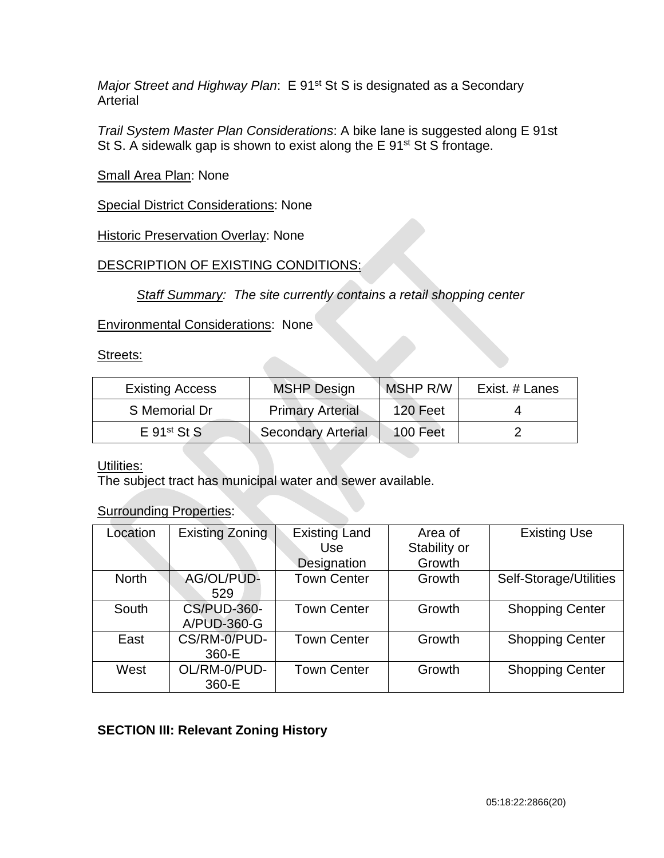*Major Street and Highway Plan*: E 91<sup>st</sup> St S is designated as a Secondary Arterial

*Trail System Master Plan Considerations*: A bike lane is suggested along E 91st St S. A sidewalk gap is shown to exist along the E 91<sup>st</sup> St S frontage.

## Small Area Plan: None

Special District Considerations: None

## **Historic Preservation Overlay: None**

## DESCRIPTION OF EXISTING CONDITIONS:

*Staff Summary: The site currently contains a retail shopping center*

## Environmental Considerations: None

#### Streets:

| <b>Existing Access</b>    | <b>MSHP Design</b>        | <b>MSHP R/W</b> | Exist. # Lanes |
|---------------------------|---------------------------|-----------------|----------------|
| S Memorial Dr             | <b>Primary Arterial</b>   | 120 Feet        |                |
| $E$ 91 <sup>st</sup> St S | <b>Secondary Arterial</b> | 100 Feet        |                |

## Utilities:

The subject tract has municipal water and sewer available.

## **Surrounding Properties:**

| Location     | <b>Existing Zoning</b>            | <b>Existing Land</b><br>Use | Area of<br>Stability or | <b>Existing Use</b>    |
|--------------|-----------------------------------|-----------------------------|-------------------------|------------------------|
|              |                                   | Designation                 | Growth                  |                        |
| <b>North</b> | AG/OL/PUD-<br>529                 | <b>Town Center</b>          | Growth                  | Self-Storage/Utilities |
| South        | <b>CS/PUD-360-</b><br>A/PUD-360-G | <b>Town Center</b>          | Growth                  | <b>Shopping Center</b> |
| East         | CS/RM-0/PUD-<br>360-E             | <b>Town Center</b>          | Growth                  | <b>Shopping Center</b> |
| West         | OL/RM-0/PUD-<br>360-E             | <b>Town Center</b>          | Growth                  | <b>Shopping Center</b> |

## **SECTION III: Relevant Zoning History**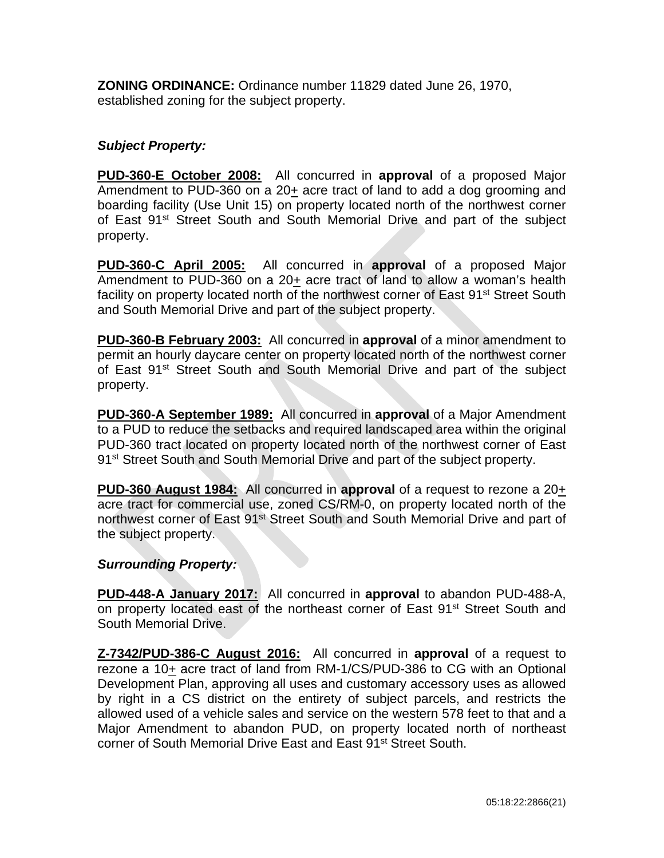**ZONING ORDINANCE:** Ordinance number 11829 dated June 26, 1970, established zoning for the subject property.

## *Subject Property:*

**PUD-360-E October 2008:** All concurred in **approval** of a proposed Major Amendment to PUD-360 on a 20+ acre tract of land to add a dog grooming and boarding facility (Use Unit 15) on property located north of the northwest corner of East 91<sup>st</sup> Street South and South Memorial Drive and part of the subject property.

**PUD-360-C April 2005:** All concurred in **approval** of a proposed Major Amendment to PUD-360 on a 20+ acre tract of land to allow a woman's health facility on property located north of the northwest corner of East 91<sup>st</sup> Street South and South Memorial Drive and part of the subject property.

**PUD-360-B February 2003:** All concurred in **approval** of a minor amendment to permit an hourly daycare center on property located north of the northwest corner of East 91<sup>st</sup> Street South and South Memorial Drive and part of the subject property.

**PUD-360-A September 1989:** All concurred in **approval** of a Major Amendment to a PUD to reduce the setbacks and required landscaped area within the original PUD-360 tract located on property located north of the northwest corner of East 91<sup>st</sup> Street South and South Memorial Drive and part of the subject property.

**PUD-360 August 1984:** All concurred in **approval** of a request to rezone a 20+ acre tract for commercial use, zoned CS/RM-0, on property located north of the northwest corner of East 91<sup>st</sup> Street South and South Memorial Drive and part of the subject property.

## *Surrounding Property:*

**PUD-448-A January 2017:** All concurred in **approval** to abandon PUD-488-A, on property located east of the northeast corner of East 91<sup>st</sup> Street South and South Memorial Drive.

**Z-7342/PUD-386-C August 2016:** All concurred in **approval** of a request to rezone a 10+ acre tract of land from RM-1/CS/PUD-386 to CG with an Optional Development Plan, approving all uses and customary accessory uses as allowed by right in a CS district on the entirety of subject parcels, and restricts the allowed used of a vehicle sales and service on the western 578 feet to that and a Major Amendment to abandon PUD, on property located north of northeast corner of South Memorial Drive East and East 91st Street South.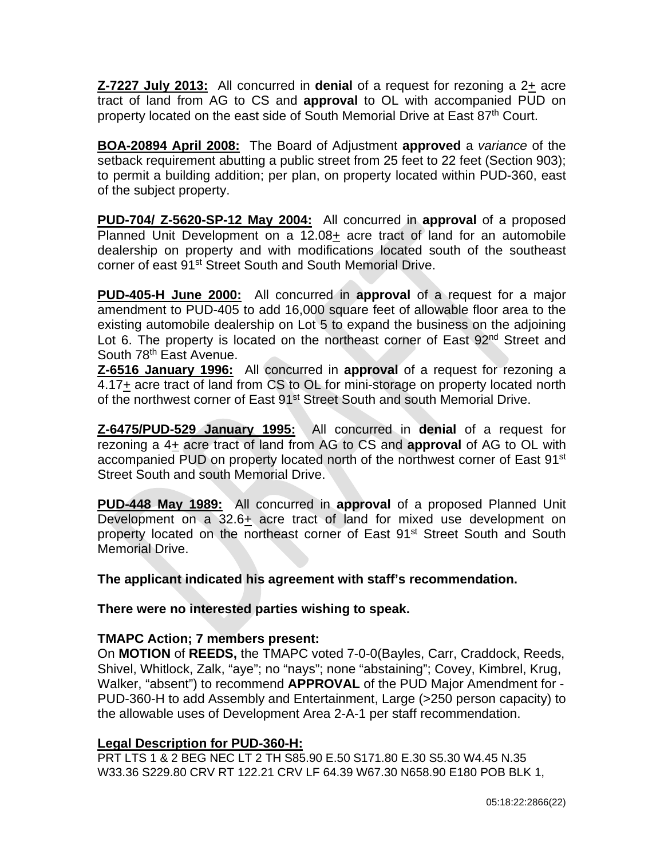**Z-7227 July 2013:** All concurred in **denial** of a request for rezoning a 2+ acre tract of land from AG to CS and **approval** to OL with accompanied PUD on property located on the east side of South Memorial Drive at East 87<sup>th</sup> Court.

**BOA-20894 April 2008:** The Board of Adjustment **approved** a *variance* of the setback requirement abutting a public street from 25 feet to 22 feet (Section 903); to permit a building addition; per plan, on property located within PUD-360, east of the subject property.

**PUD-704/ Z-5620-SP-12 May 2004:** All concurred in **approval** of a proposed Planned Unit Development on a 12.08+ acre tract of land for an automobile dealership on property and with modifications located south of the southeast corner of east 91<sup>st</sup> Street South and South Memorial Drive.

**PUD-405-H June 2000:** All concurred in **approval** of a request for a major amendment to PUD-405 to add 16,000 square feet of allowable floor area to the existing automobile dealership on Lot 5 to expand the business on the adjoining Lot 6. The property is located on the northeast corner of East 92<sup>nd</sup> Street and South 78th East Avenue.

**Z-6516 January 1996:** All concurred in **approval** of a request for rezoning a 4.17+ acre tract of land from CS to OL for mini-storage on property located north of the northwest corner of East 91<sup>st</sup> Street South and south Memorial Drive.

**Z-6475/PUD-529 January 1995:** All concurred in **denial** of a request for rezoning a 4+ acre tract of land from AG to CS and **approval** of AG to OL with accompanied PUD on property located north of the northwest corner of East 91<sup>st</sup> Street South and south Memorial Drive.

**PUD-448 May 1989:** All concurred in **approval** of a proposed Planned Unit Development on a  $32.6+$  acre tract of land for mixed use development on property located on the northeast corner of East 91<sup>st</sup> Street South and South Memorial Drive.

**The applicant indicated his agreement with staff's recommendation.**

**There were no interested parties wishing to speak.**

## **TMAPC Action; 7 members present:**

On **MOTION** of **REEDS,** the TMAPC voted 7-0-0(Bayles, Carr, Craddock, Reeds, Shivel, Whitlock, Zalk, "aye"; no "nays"; none "abstaining"; Covey, Kimbrel, Krug, Walker, "absent") to recommend **APPROVAL** of the PUD Major Amendment for - PUD-360-H to add Assembly and Entertainment, Large (>250 person capacity) to the allowable uses of Development Area 2-A-1 per staff recommendation.

## **Legal Description for PUD-360-H:**

PRT LTS 1 & 2 BEG NEC LT 2 TH S85.90 E.50 S171.80 E.30 S5.30 W4.45 N.35 W33.36 S229.80 CRV RT 122.21 CRV LF 64.39 W67.30 N658.90 E180 POB BLK 1,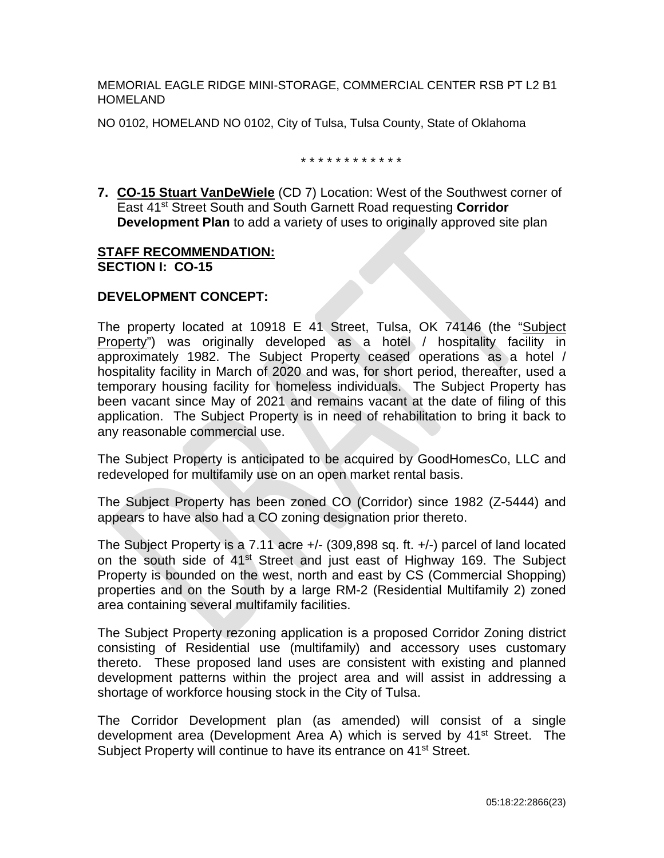MEMORIAL EAGLE RIDGE MINI-STORAGE, COMMERCIAL CENTER RSB PT L2 B1 HOMELAND

NO 0102, HOMELAND NO 0102, City of Tulsa, Tulsa County, State of Oklahoma

\* \* \* \* \* \* \* \* \* \* \* \*

**7. CO-15 Stuart VanDeWiele** (CD 7) Location: West of the Southwest corner of East 41st Street South and South Garnett Road requesting **Corridor Development Plan** to add a variety of uses to originally approved site plan

#### **STAFF RECOMMENDATION: SECTION I: CO-15**

## **DEVELOPMENT CONCEPT:**

The property located at 10918 E 41 Street, Tulsa, OK 74146 (the "Subject Property") was originally developed as a hotel / hospitality facility in approximately 1982. The Subject Property ceased operations as a hotel / hospitality facility in March of 2020 and was, for short period, thereafter, used a temporary housing facility for homeless individuals. The Subject Property has been vacant since May of 2021 and remains vacant at the date of filing of this application. The Subject Property is in need of rehabilitation to bring it back to any reasonable commercial use.

The Subject Property is anticipated to be acquired by GoodHomesCo, LLC and redeveloped for multifamily use on an open market rental basis.

The Subject Property has been zoned CO (Corridor) since 1982 (Z-5444) and appears to have also had a CO zoning designation prior thereto.

The Subject Property is a 7.11 acre +/- (309,898 sq. ft. +/-) parcel of land located on the south side of 41<sup>st</sup> Street and just east of Highway 169. The Subject Property is bounded on the west, north and east by CS (Commercial Shopping) properties and on the South by a large RM-2 (Residential Multifamily 2) zoned area containing several multifamily facilities.

The Subject Property rezoning application is a proposed Corridor Zoning district consisting of Residential use (multifamily) and accessory uses customary thereto. These proposed land uses are consistent with existing and planned development patterns within the project area and will assist in addressing a shortage of workforce housing stock in the City of Tulsa.

The Corridor Development plan (as amended) will consist of a single development area (Development Area A) which is served by 41<sup>st</sup> Street. The Subiect Property will continue to have its entrance on 41<sup>st</sup> Street.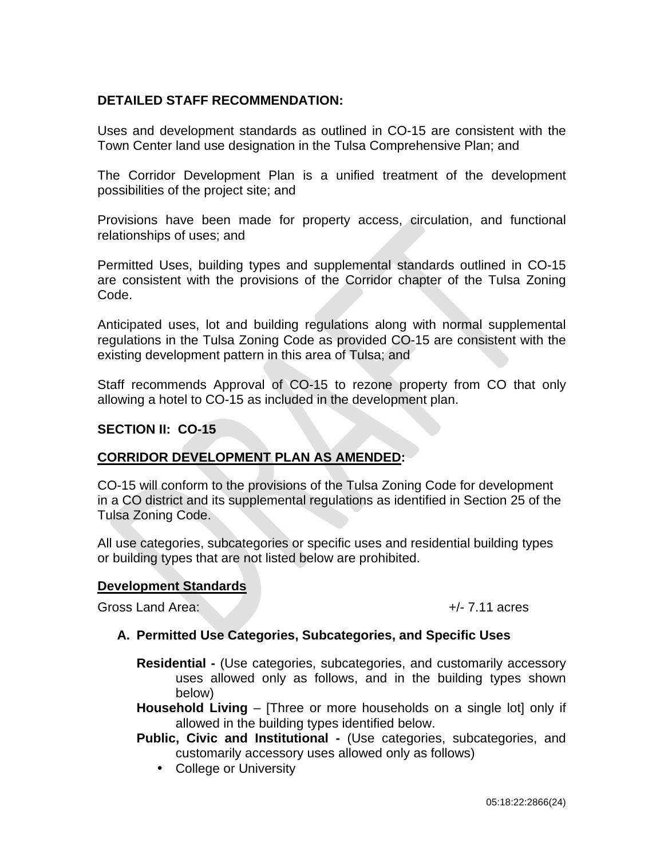## **DETAILED STAFF RECOMMENDATION:**

Uses and development standards as outlined in CO-15 are consistent with the Town Center land use designation in the Tulsa Comprehensive Plan; and

The Corridor Development Plan is a unified treatment of the development possibilities of the project site; and

Provisions have been made for property access, circulation, and functional relationships of uses; and

Permitted Uses, building types and supplemental standards outlined in CO-15 are consistent with the provisions of the Corridor chapter of the Tulsa Zoning Code.

Anticipated uses, lot and building regulations along with normal supplemental regulations in the Tulsa Zoning Code as provided CO-15 are consistent with the existing development pattern in this area of Tulsa; and

Staff recommends Approval of CO-15 to rezone property from CO that only allowing a hotel to CO-15 as included in the development plan.

## **SECTION II: CO-15**

# **CORRIDOR DEVELOPMENT PLAN AS AMENDED:**

CO-15 will conform to the provisions of the Tulsa Zoning Code for development in a CO district and its supplemental regulations as identified in Section 25 of the Tulsa Zoning Code.

All use categories, subcategories or specific uses and residential building types or building types that are not listed below are prohibited.

#### **Development Standards**

Gross Land Area: +/- 7.11 acres

#### **A. Permitted Use Categories, Subcategories, and Specific Uses**

- **Residential -** (Use categories, subcategories, and customarily accessory uses allowed only as follows, and in the building types shown below)
- **Household Living** [Three or more households on a single lot] only if allowed in the building types identified below.
- **Public, Civic and Institutional -** (Use categories, subcategories, and customarily accessory uses allowed only as follows)
	- College or University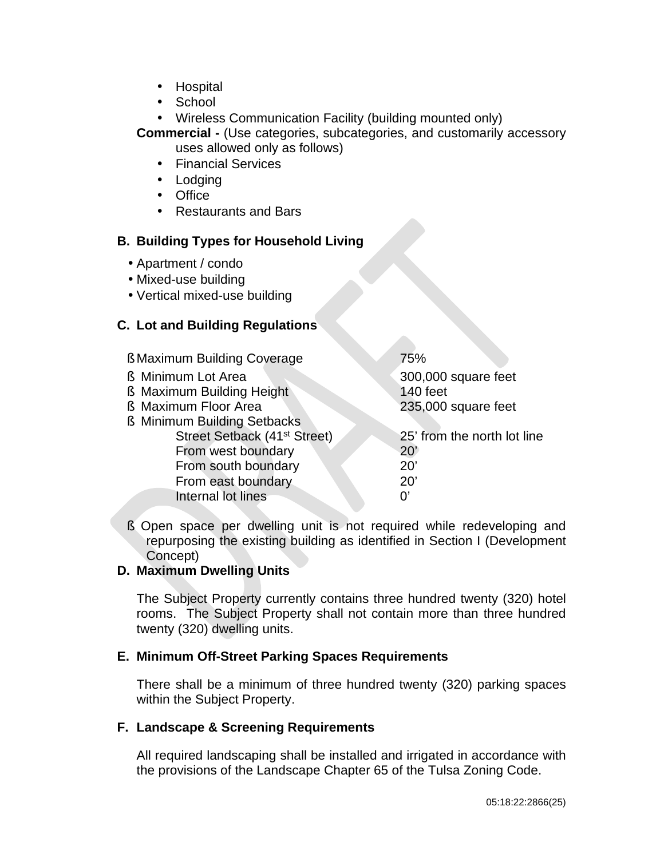- **Hospital**  $\mathbf{r}^{\left(1\right)}$
- School
- $\mathbf{r}$ Wireless Communication Facility (building mounted only)
- **Commercial -** (Use categories, subcategories, and customarily accessory uses allowed only as follows)
	- $\mathcal{L}^{\text{max}}$ Financial Services
	- . Lodging
	- Office
	- Restaurants and Bars

#### **B. Building Types for Household Living**

- Apartment / condo
- Mixed-use building
- Vertical mixed-use building

#### **C. Lot and Building Regulations**

| <b>§ Maximum Building Coverage</b>       | 75%                         |  |
|------------------------------------------|-----------------------------|--|
| <b>§</b> Minimum Lot Area                | 300,000 square feet         |  |
| <b>§ Maximum Building Height</b>         | <b>140 feet</b>             |  |
| <b>§ Maximum Floor Area</b>              | 235,000 square feet         |  |
| <b>§ Minimum Building Setbacks</b>       |                             |  |
| Street Setback (41 <sup>st</sup> Street) | 25' from the north lot line |  |
| From west boundary                       | 20'                         |  |
| From south boundary                      | 20'                         |  |
| From east boundary                       | 20'                         |  |
| Internal lot lines                       | U,                          |  |
|                                          |                             |  |

§ Open space per dwelling unit is not required while redeveloping and repurposing the existing building as identified in Section I (Development Concept)

## **D. Maximum Dwelling Units**

The Subject Property currently contains three hundred twenty (320) hotel rooms. The Subject Property shall not contain more than three hundred twenty (320) dwelling units.

## **E. Minimum Off-Street Parking Spaces Requirements**

There shall be a minimum of three hundred twenty (320) parking spaces within the Subject Property.

#### **F. Landscape & Screening Requirements**

All required landscaping shall be installed and irrigated in accordance with the provisions of the Landscape Chapter 65 of the Tulsa Zoning Code.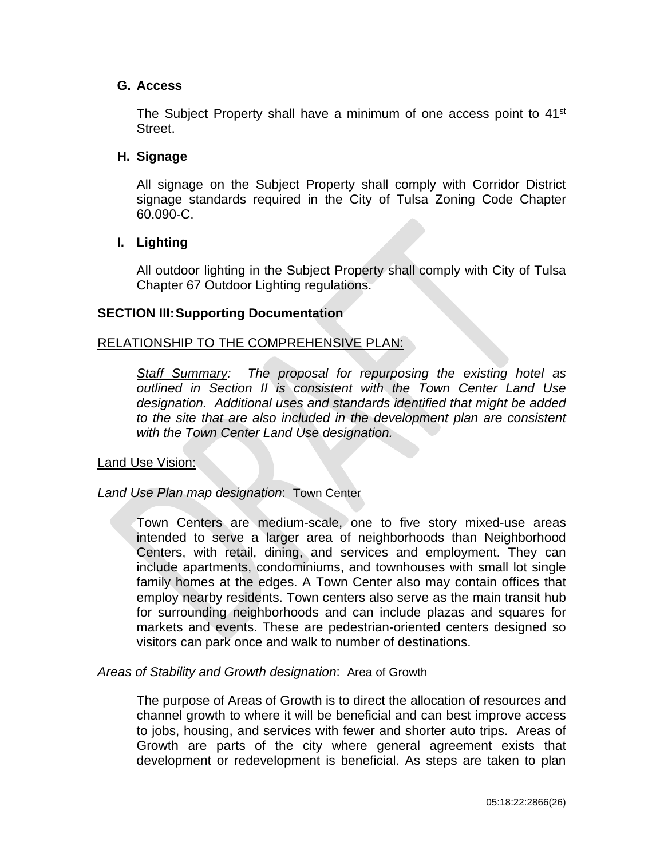#### **G. Access**

The Subject Property shall have a minimum of one access point to 41<sup>st</sup> Street.

#### **H. Signage**

All signage on the Subject Property shall comply with Corridor District signage standards required in the City of Tulsa Zoning Code Chapter 60.090-C.

#### **I. Lighting**

All outdoor lighting in the Subject Property shall comply with City of Tulsa Chapter 67 Outdoor Lighting regulations.

#### **SECTION III:Supporting Documentation**

#### RELATIONSHIP TO THE COMPREHENSIVE PLAN:

*Staff Summary: The proposal for repurposing the existing hotel as outlined in Section II is consistent with the Town Center Land Use designation. Additional uses and standards identified that might be added to the site that are also included in the development plan are consistent with the Town Center Land Use designation.* 

#### Land Use Vision:

#### *Land Use Plan map designation*: Town Center

Town Centers are medium-scale, one to five story mixed-use areas intended to serve a larger area of neighborhoods than Neighborhood Centers, with retail, dining, and services and employment. They can include apartments, condominiums, and townhouses with small lot single family homes at the edges. A Town Center also may contain offices that employ nearby residents. Town centers also serve as the main transit hub for surrounding neighborhoods and can include plazas and squares for markets and events. These are pedestrian-oriented centers designed so visitors can park once and walk to number of destinations.

#### *Areas of Stability and Growth designation*: Area of Growth

The purpose of Areas of Growth is to direct the allocation of resources and channel growth to where it will be beneficial and can best improve access to jobs, housing, and services with fewer and shorter auto trips. Areas of Growth are parts of the city where general agreement exists that development or redevelopment is beneficial. As steps are taken to plan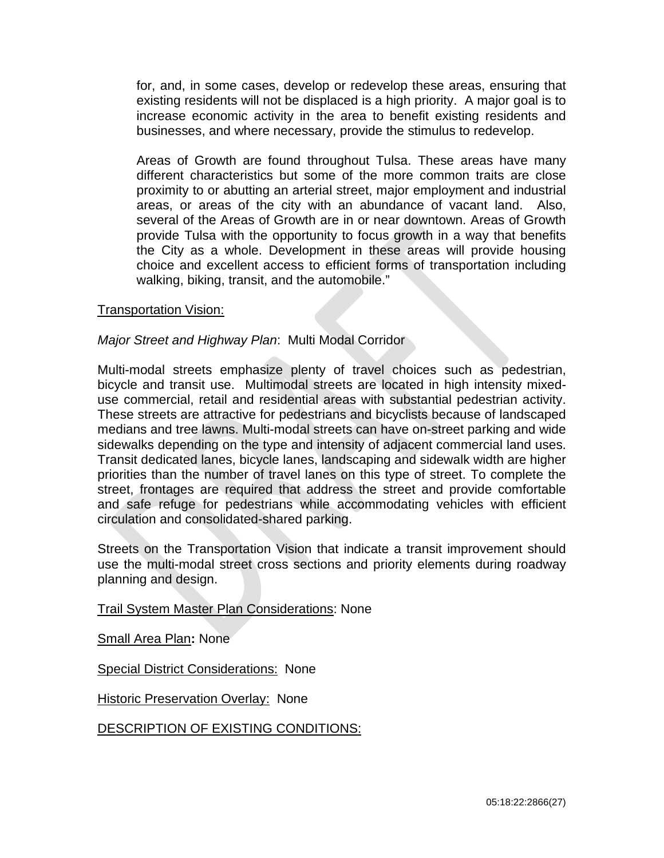for, and, in some cases, develop or redevelop these areas, ensuring that existing residents will not be displaced is a high priority. A major goal is to increase economic activity in the area to benefit existing residents and businesses, and where necessary, provide the stimulus to redevelop.

Areas of Growth are found throughout Tulsa. These areas have many different characteristics but some of the more common traits are close proximity to or abutting an arterial street, major employment and industrial areas, or areas of the city with an abundance of vacant land. Also, several of the Areas of Growth are in or near downtown. Areas of Growth provide Tulsa with the opportunity to focus growth in a way that benefits the City as a whole. Development in these areas will provide housing choice and excellent access to efficient forms of transportation including walking, biking, transit, and the automobile."

#### Transportation Vision:

#### *Major Street and Highway Plan*: Multi Modal Corridor

Multi-modal streets emphasize plenty of travel choices such as pedestrian, bicycle and transit use. Multimodal streets are located in high intensity mixeduse commercial, retail and residential areas with substantial pedestrian activity. These streets are attractive for pedestrians and bicyclists because of landscaped medians and tree lawns. Multi-modal streets can have on-street parking and wide sidewalks depending on the type and intensity of adjacent commercial land uses. Transit dedicated lanes, bicycle lanes, landscaping and sidewalk width are higher priorities than the number of travel lanes on this type of street. To complete the street, frontages are required that address the street and provide comfortable and safe refuge for pedestrians while accommodating vehicles with efficient circulation and consolidated-shared parking.

Streets on the Transportation Vision that indicate a transit improvement should use the multi-modal street cross sections and priority elements during roadway planning and design.

Trail System Master Plan Considerations: None

Small Area Plan**:** None

Special District Considerations: None

Historic Preservation Overlay: None

DESCRIPTION OF EXISTING CONDITIONS: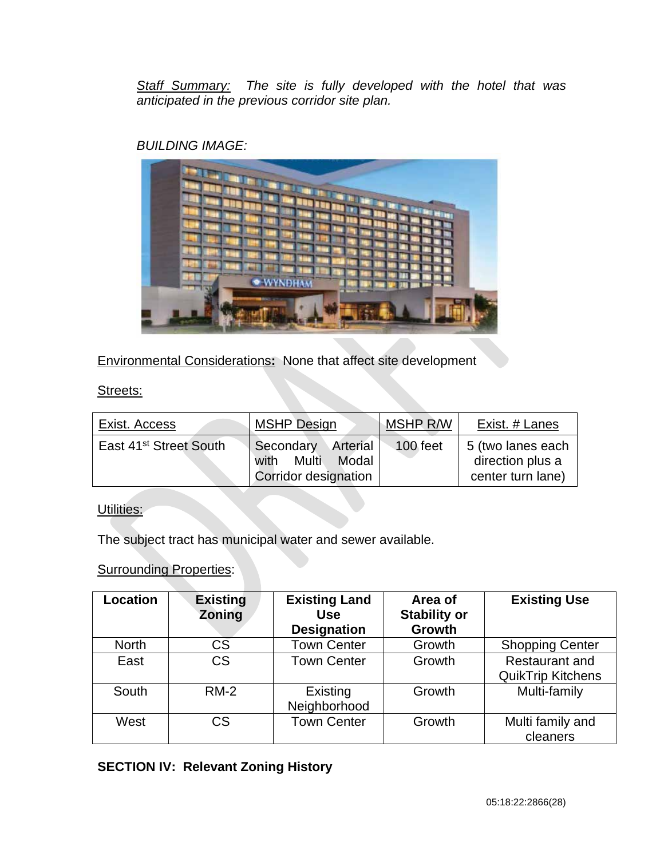*Staff Summary: The site is fully developed with the hotel that was anticipated in the previous corridor site plan.* 

## *BUILDING IMAGE:*

Environmental Considerations**:** None that affect site development

## Streets:

| Exist. Access                      | <b>MSHP Design</b>                                                      | MSHP R/W | Exist. # Lanes                                             |
|------------------------------------|-------------------------------------------------------------------------|----------|------------------------------------------------------------|
| East 41 <sup>st</sup> Street South | Secondary<br>Arterial<br>Multi<br>Modal<br>with<br>Corridor designation | 100 feet | 5 (two lanes each<br>direction plus a<br>center turn lane) |

## Utilities:

The subject tract has municipal water and sewer available.

## **Surrounding Properties:**

| <b>Location</b> | <b>Existing</b><br>Zoning | <b>Existing Land</b><br>Use<br><b>Designation</b> | Area of<br><b>Stability or</b><br><b>Growth</b> | <b>Existing Use</b>                               |
|-----------------|---------------------------|---------------------------------------------------|-------------------------------------------------|---------------------------------------------------|
| <b>North</b>    | CS                        | <b>Town Center</b>                                | Growth                                          | <b>Shopping Center</b>                            |
| East            | CS                        | <b>Town Center</b>                                | Growth                                          | <b>Restaurant and</b><br><b>QuikTrip Kitchens</b> |
| South           | $RM-2$                    | Existing<br>Neighborhood                          | Growth                                          | Multi-family                                      |
| West            | CS                        | <b>Town Center</b>                                | Growth                                          | Multi family and<br>cleaners                      |

# **SECTION IV: Relevant Zoning History**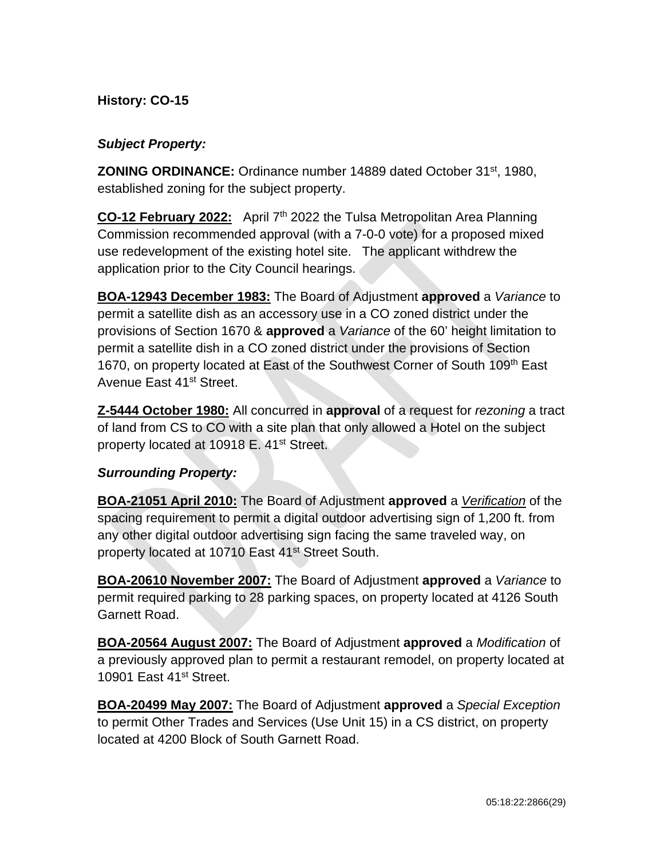## **History: CO-15**

## *Subject Property:*

**ZONING ORDINANCE:** Ordinance number 14889 dated October 31st, 1980, established zoning for the subject property.

**CO-12 February 2022:** April 7th 2022 the Tulsa Metropolitan Area Planning Commission recommended approval (with a 7-0-0 vote) for a proposed mixed use redevelopment of the existing hotel site. The applicant withdrew the application prior to the City Council hearings.

**BOA-12943 December 1983:** The Board of Adjustment **approved** a *Variance* to permit a satellite dish as an accessory use in a CO zoned district under the provisions of Section 1670 & **approved** a *Variance* of the 60' height limitation to permit a satellite dish in a CO zoned district under the provisions of Section 1670, on property located at East of the Southwest Corner of South 109<sup>th</sup> East Avenue East 41<sup>st</sup> Street.

**Z-5444 October 1980:** All concurred in **approval** of a request for *rezoning* a tract of land from CS to CO with a site plan that only allowed a Hotel on the subject property located at 10918 E. 41<sup>st</sup> Street.

## *Surrounding Property:*

**BOA-21051 April 2010:** The Board of Adjustment **approved** a *Verification* of the spacing requirement to permit a digital outdoor advertising sign of 1,200 ft. from any other digital outdoor advertising sign facing the same traveled way, on property located at 10710 East 41<sup>st</sup> Street South.

**BOA-20610 November 2007:** The Board of Adjustment **approved** a *Variance* to permit required parking to 28 parking spaces, on property located at 4126 South Garnett Road.

**BOA-20564 August 2007:** The Board of Adjustment **approved** a *Modification* of a previously approved plan to permit a restaurant remodel, on property located at 10901 East 41<sup>st</sup> Street.

**BOA-20499 May 2007:** The Board of Adjustment **approved** a *Special Exception*  to permit Other Trades and Services (Use Unit 15) in a CS district, on property located at 4200 Block of South Garnett Road.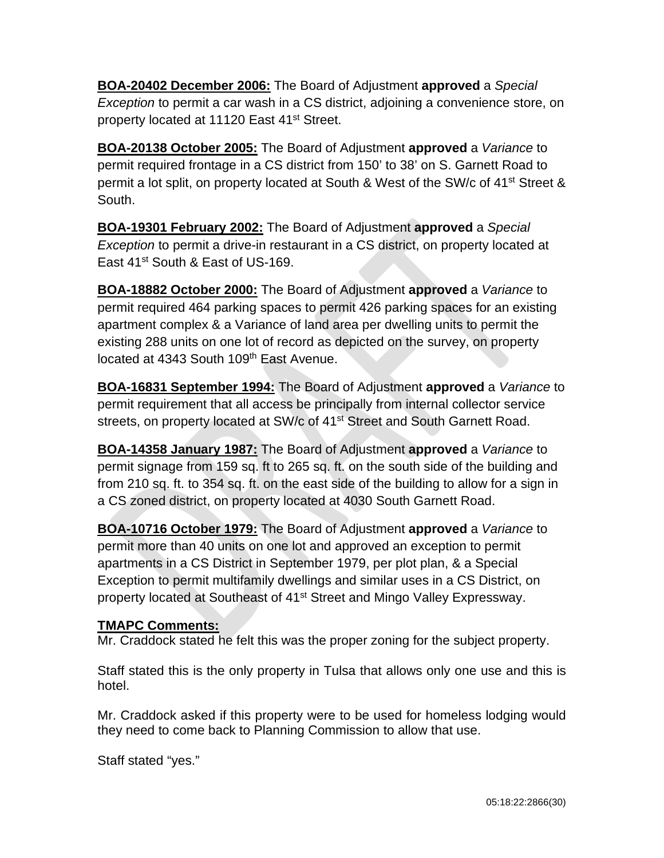**BOA-20402 December 2006:** The Board of Adjustment **approved** a *Special Exception* to permit a car wash in a CS district, adjoining a convenience store, on property located at 11120 East 41<sup>st</sup> Street.

**BOA-20138 October 2005:** The Board of Adjustment **approved** a *Variance* to permit required frontage in a CS district from 150' to 38' on S. Garnett Road to permit a lot split, on property located at South & West of the SW/c of 41st Street & South.

**BOA-19301 February 2002:** The Board of Adjustment **approved** a *Special Exception* to permit a drive-in restaurant in a CS district, on property located at East 41<sup>st</sup> South & East of US-169.

**BOA-18882 October 2000:** The Board of Adjustment **approved** a *Variance* to permit required 464 parking spaces to permit 426 parking spaces for an existing apartment complex & a Variance of land area per dwelling units to permit the existing 288 units on one lot of record as depicted on the survey, on property located at 4343 South 109<sup>th</sup> East Avenue.

**BOA-16831 September 1994:** The Board of Adjustment **approved** a *Variance* to permit requirement that all access be principally from internal collector service streets, on property located at SW/c of 41<sup>st</sup> Street and South Garnett Road.

**BOA-14358 January 1987:** The Board of Adjustment **approved** a *Variance* to permit signage from 159 sq. ft to 265 sq. ft. on the south side of the building and from 210 sq. ft. to 354 sq. ft. on the east side of the building to allow for a sign in a CS zoned district, on property located at 4030 South Garnett Road.

**BOA-10716 October 1979:** The Board of Adjustment **approved** a *Variance* to permit more than 40 units on one lot and approved an exception to permit apartments in a CS District in September 1979, per plot plan, & a Special Exception to permit multifamily dwellings and similar uses in a CS District, on property located at Southeast of 41<sup>st</sup> Street and Mingo Valley Expressway.

## **TMAPC Comments:**

Mr. Craddock stated he felt this was the proper zoning for the subject property.

Staff stated this is the only property in Tulsa that allows only one use and this is hotel.

Mr. Craddock asked if this property were to be used for homeless lodging would they need to come back to Planning Commission to allow that use.

Staff stated "yes."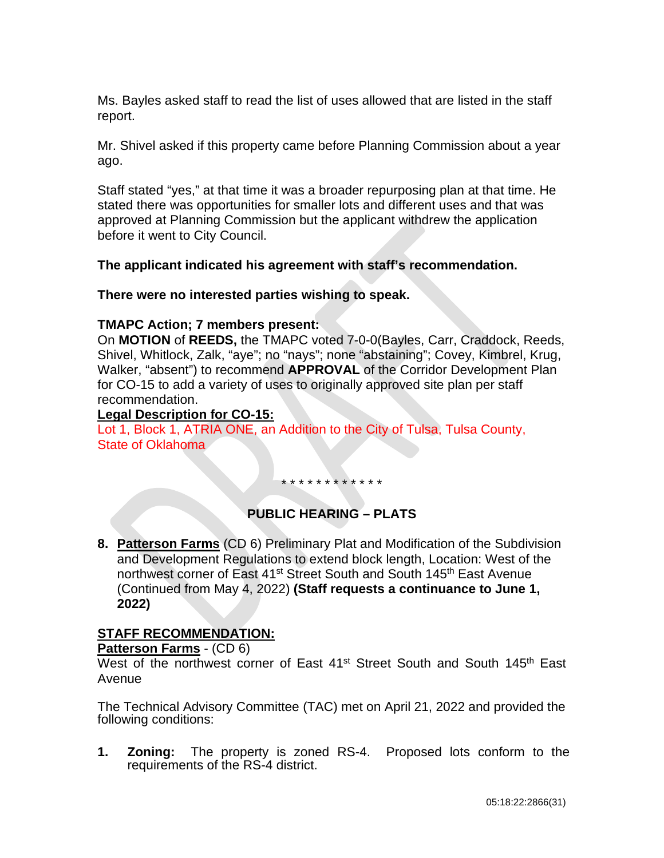Ms. Bayles asked staff to read the list of uses allowed that are listed in the staff report.

Mr. Shivel asked if this property came before Planning Commission about a year ago.

Staff stated "yes," at that time it was a broader repurposing plan at that time. He stated there was opportunities for smaller lots and different uses and that was approved at Planning Commission but the applicant withdrew the application before it went to City Council.

**The applicant indicated his agreement with staff's recommendation.**

**There were no interested parties wishing to speak.**

## **TMAPC Action; 7 members present:**

On **MOTION** of **REEDS,** the TMAPC voted 7-0-0(Bayles, Carr, Craddock, Reeds, Shivel, Whitlock, Zalk, "aye"; no "nays"; none "abstaining"; Covey, Kimbrel, Krug, Walker, "absent") to recommend **APPROVAL** of the Corridor Development Plan for CO-15 to add a variety of uses to originally approved site plan per staff recommendation.

## **Legal Description for CO-15:**

Lot 1, Block 1, ATRIA ONE, an Addition to the City of Tulsa, Tulsa County, State of Oklahoma

\* \* \* \* \* \* \* \* \* \* \* \*

# **PUBLIC HEARING – PLATS**

**8. Patterson Farms** (CD 6) Preliminary Plat and Modification of the Subdivision and Development Regulations to extend block length, Location: West of the northwest corner of East 41<sup>st</sup> Street South and South 145<sup>th</sup> East Avenue (Continued from May 4, 2022) **(Staff requests a continuance to June 1, 2022)**

## **STAFF RECOMMENDATION:**

**Patterson Farms** - (CD 6)

West of the northwest corner of East 41<sup>st</sup> Street South and South 145<sup>th</sup> East Avenue

The Technical Advisory Committee (TAC) met on April 21, 2022 and provided the following conditions:

**1. Zoning:** The property is zoned RS-4. Proposed lots conform to the requirements of the RS-4 district.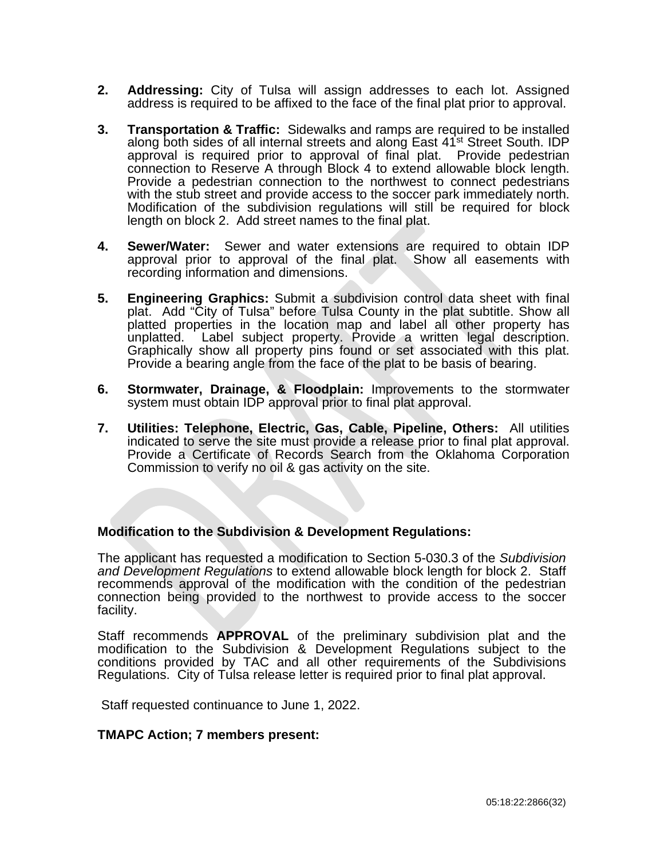- **2. Addressing:** City of Tulsa will assign addresses to each lot. Assigned address is required to be affixed to the face of the final plat prior to approval.
- **3. Transportation & Traffic:** Sidewalks and ramps are required to be installed along both sides of all internal streets and along East 41<sup>st</sup> Street South. IDP approval is required prior to approval of final plat. Provide pedestrian connection to Reserve A through Block 4 to extend allowable block length. Provide a pedestrian connection to the northwest to connect pedestrians with the stub street and provide access to the soccer park immediately north. Modification of the subdivision regulations will still be required for block length on block 2. Add street names to the final plat.
- **4. Sewer/Water:** Sewer and water extensions are required to obtain IDP approval prior to approval of the final plat. Show all easements with recording information and dimensions.
- **5. Engineering Graphics:** Submit a subdivision control data sheet with final plat. Add "City of Tulsa" before Tulsa County in the plat subtitle. Show all platted properties in the location map and label all other property has unplatted. Label subject property. Provide a written legal description. Graphically show all property pins found or set associated with this plat. Provide a bearing angle from the face of the plat to be basis of bearing.
- **6. Stormwater, Drainage, & Floodplain:** Improvements to the stormwater system must obtain IDP approval prior to final plat approval.
- **7. Utilities: Telephone, Electric, Gas, Cable, Pipeline, Others:** All utilities indicated to serve the site must provide a release prior to final plat approval. Provide a Certificate of Records Search from the Oklahoma Corporation Commission to verify no oil & gas activity on the site.

#### **Modification to the Subdivision & Development Regulations:**

The applicant has requested a modification to Section 5-030.3 of the *Subdivision and Development Regulations* to extend allowable block length for block 2. Staff recommends approval of the modification with the condition of the pedestrian connection being provided to the northwest to provide access to the soccer facility.

Staff recommends **APPROVAL** of the preliminary subdivision plat and the modification to the Subdivision & Development Regulations subject to the conditions provided by TAC and all other requirements of the Subdivisions Regulations. City of Tulsa release letter is required prior to final plat approval.

Staff requested continuance to June 1, 2022.

#### **TMAPC Action; 7 members present:**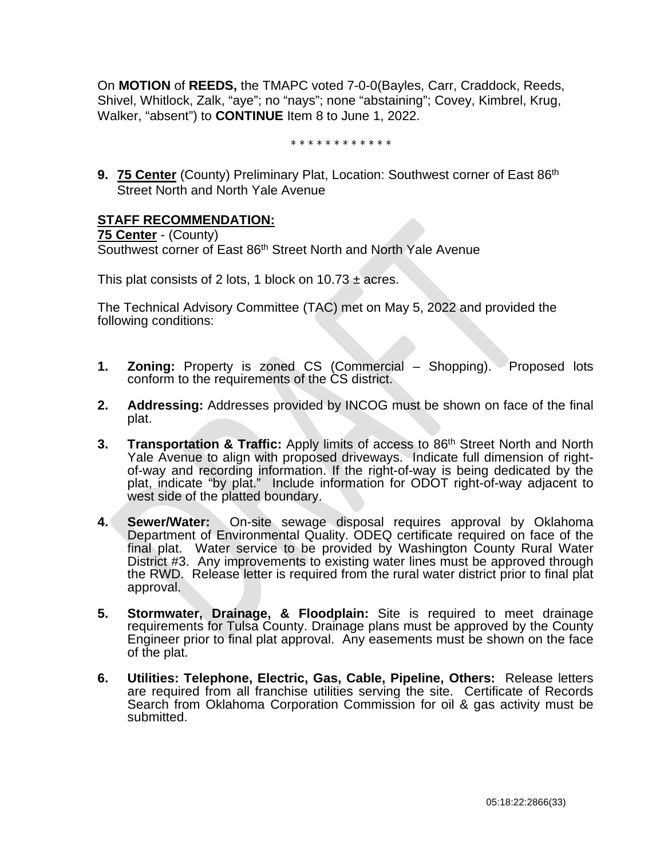On **MOTION** of **REEDS,** the TMAPC voted 7-0-0(Bayles, Carr, Craddock, Reeds, Shivel, Whitlock, Zalk, "aye"; no "nays"; none "abstaining"; Covey, Kimbrel, Krug, Walker, "absent") to **CONTINUE** Item 8 to June 1, 2022.

\* \* \* \* \* \* \* \* \* \* \* \*

**9. 75 Center** (County) Preliminary Plat, Location: Southwest corner of East 86<sup>th</sup> Street North and North Yale Avenue

## **STAFF RECOMMENDATION:**

**75 Center** - (County) Southwest corner of East 86<sup>th</sup> Street North and North Yale Avenue

This plat consists of 2 lots, 1 block on  $10.73 \pm \text{acres}$ .

The Technical Advisory Committee (TAC) met on May 5, 2022 and provided the following conditions:

- **1. Zoning:** Property is zoned CS (Commercial Shopping). Proposed lots conform to the requirements of the CS district.
- **2. Addressing:** Addresses provided by INCOG must be shown on face of the final plat.
- **3. Transportation & Traffic:** Apply limits of access to 86<sup>th</sup> Street North and North Yale Avenue to align with proposed driveways. Indicate full dimension of rightof-way and recording information. If the right-of-way is being dedicated by the plat, indicate "by plat." Include information for ODOT right-of-way adjacent to west side of the platted boundary.
- **4. Sewer/Water:** On-site sewage disposal requires approval by Oklahoma Department of Environmental Quality. ODEQ certificate required on face of the final plat. Water service to be provided by Washington County Rural Water District #3. Any improvements to existing water lines must be approved through the RWD. Release letter is required from the rural water district prior to final plat approval.
- **5. Stormwater, Drainage, & Floodplain:** Site is required to meet drainage requirements for Tulsa County. Drainage plans must be approved by the County Engineer prior to final plat approval. Any easements must be shown on the face of the plat.
- **6. Utilities: Telephone, Electric, Gas, Cable, Pipeline, Others:** Release letters are required from all franchise utilities serving the site. Certificate of Records Search from Oklahoma Corporation Commission for oil & gas activity must be submitted.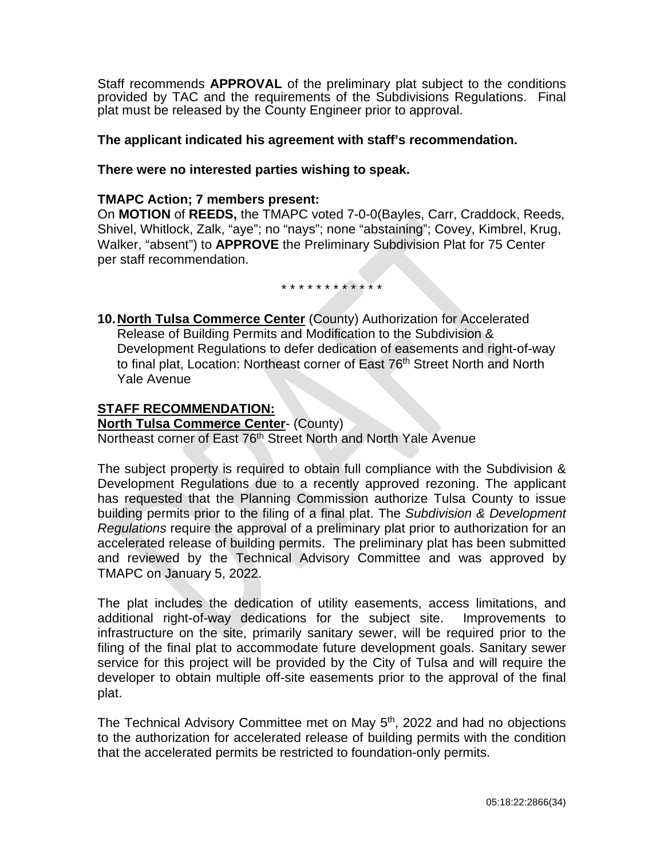Staff recommends **APPROVAL** of the preliminary plat subject to the conditions provided by TAC and the requirements of the Subdivisions Regulations. Final plat must be released by the County Engineer prior to approval.

## **The applicant indicated his agreement with staff's recommendation.**

#### **There were no interested parties wishing to speak.**

#### **TMAPC Action; 7 members present:**

On **MOTION** of **REEDS,** the TMAPC voted 7-0-0(Bayles, Carr, Craddock, Reeds, Shivel, Whitlock, Zalk, "aye"; no "nays"; none "abstaining"; Covey, Kimbrel, Krug, Walker, "absent") to **APPROVE** the Preliminary Subdivision Plat for 75 Center per staff recommendation.

\* \* \* \* \* \* \* \* \* \* \* \*

**10.North Tulsa Commerce Center** (County) Authorization for Accelerated Release of Building Permits and Modification to the Subdivision & Development Regulations to defer dedication of easements and right-of-way to final plat, Location: Northeast corner of East 76<sup>th</sup> Street North and North Yale Avenue

## **STAFF RECOMMENDATION:**

**North Tulsa Commerce Center**- (County) Northeast corner of East 76<sup>th</sup> Street North and North Yale Avenue

The subject property is required to obtain full compliance with the Subdivision & Development Regulations due to a recently approved rezoning. The applicant has requested that the Planning Commission authorize Tulsa County to issue building permits prior to the filing of a final plat. The *Subdivision & Development Regulations* require the approval of a preliminary plat prior to authorization for an accelerated release of building permits. The preliminary plat has been submitted and reviewed by the Technical Advisory Committee and was approved by TMAPC on January 5, 2022.

The plat includes the dedication of utility easements, access limitations, and additional right-of-way dedications for the subject site. Improvements to infrastructure on the site, primarily sanitary sewer, will be required prior to the filing of the final plat to accommodate future development goals. Sanitary sewer service for this project will be provided by the City of Tulsa and will require the developer to obtain multiple off-site easements prior to the approval of the final plat.

The Technical Advisory Committee met on May 5<sup>th</sup>, 2022 and had no objections to the authorization for accelerated release of building permits with the condition that the accelerated permits be restricted to foundation-only permits.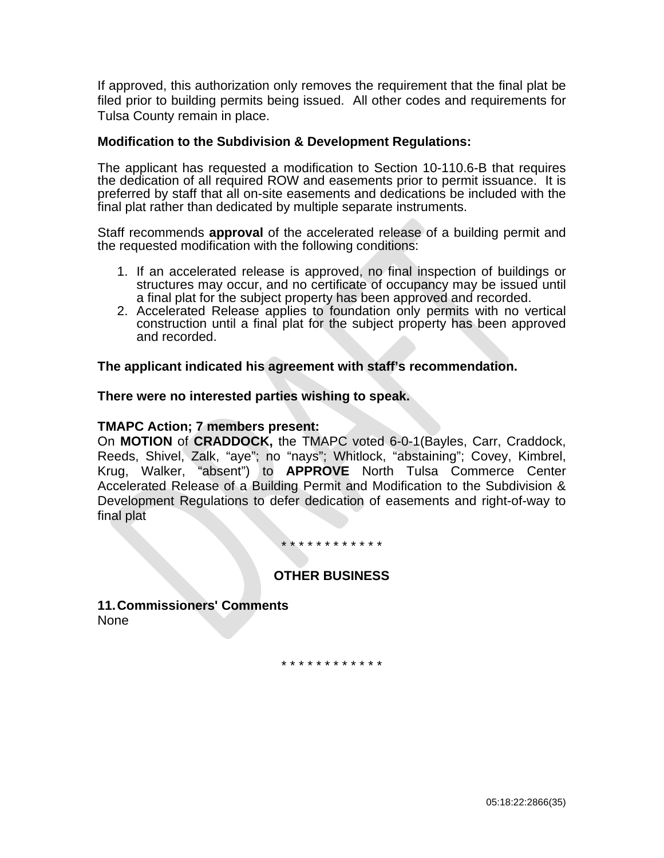If approved, this authorization only removes the requirement that the final plat be filed prior to building permits being issued. All other codes and requirements for Tulsa County remain in place.

#### **Modification to the Subdivision & Development Regulations:**

The applicant has requested a modification to Section 10-110.6-B that requires the dedication of all required ROW and easements prior to permit issuance. It is preferred by staff that all on-site easements and dedications be included with the final plat rather than dedicated by multiple separate instruments.

Staff recommends **approval** of the accelerated release of a building permit and the requested modification with the following conditions:

- 1. If an accelerated release is approved, no final inspection of buildings or structures may occur, and no certificate of occupancy may be issued until a final plat for the subject property has been approved and recorded.
- 2. Accelerated Release applies to foundation only permits with no vertical construction until a final plat for the subject property has been approved and recorded.

#### **The applicant indicated his agreement with staff's recommendation.**

#### **There were no interested parties wishing to speak.**

#### **TMAPC Action; 7 members present:**

On **MOTION** of **CRADDOCK,** the TMAPC voted 6-0-1(Bayles, Carr, Craddock, Reeds, Shivel, Zalk, "aye"; no "nays"; Whitlock, "abstaining"; Covey, Kimbrel, Krug, Walker, "absent") to **APPROVE** North Tulsa Commerce Center Accelerated Release of a Building Permit and Modification to the Subdivision & Development Regulations to defer dedication of easements and right-of-way to final plat

#### \* \* \* \* \* \* \* \* \* \* \* \*

## **OTHER BUSINESS**

**11.Commissioners' Comments** None

\* \* \* \* \* \* \* \* \* \* \* \*